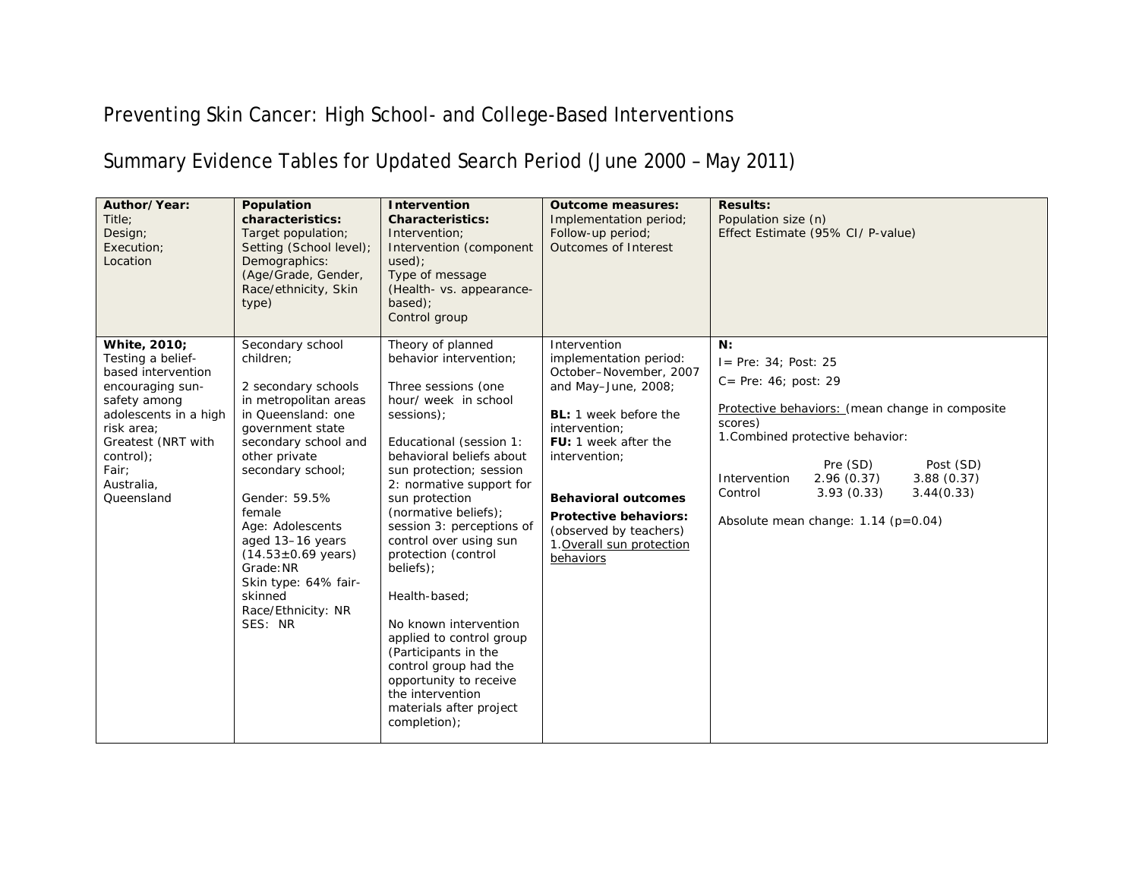## Preventing Skin Cancer: High School- and College-Based Interventions

## Summary Evidence Tables for Updated Search Period (June 2000 – May 2011)

| Author/Year:<br>Title:<br>Design;<br>Execution;<br>Location                                                                                                                                                | Population<br>characteristics:<br>Target population;<br>Setting (School level);<br>Demographics:<br>(Age/Grade, Gender,<br>Race/ethnicity, Skin<br>type)                                                                                                                                                                                                                      | <b>Intervention</b><br><b>Characteristics:</b><br>Intervention;<br>Intervention (component<br>used):<br>Type of message<br>(Health- vs. appearance-<br>based);<br>Control group                                                                                                                                                                                                                                                                                                                                                                                             | <b>Outcome measures:</b><br>Implementation period;<br>Follow-up period;<br>Outcomes of Interest                                                                                                                                                                                                                     | <b>Results:</b><br>Population size (n)<br>Effect Estimate (95% CI/ P-value)                                                                                                                                                                                                                                          |
|------------------------------------------------------------------------------------------------------------------------------------------------------------------------------------------------------------|-------------------------------------------------------------------------------------------------------------------------------------------------------------------------------------------------------------------------------------------------------------------------------------------------------------------------------------------------------------------------------|-----------------------------------------------------------------------------------------------------------------------------------------------------------------------------------------------------------------------------------------------------------------------------------------------------------------------------------------------------------------------------------------------------------------------------------------------------------------------------------------------------------------------------------------------------------------------------|---------------------------------------------------------------------------------------------------------------------------------------------------------------------------------------------------------------------------------------------------------------------------------------------------------------------|----------------------------------------------------------------------------------------------------------------------------------------------------------------------------------------------------------------------------------------------------------------------------------------------------------------------|
| White, 2010;<br>Testing a belief-<br>based intervention<br>encouraging sun-<br>safety among<br>adolescents in a high<br>risk area;<br>Greatest (NRT with<br>control);<br>Fair;<br>Australia,<br>Queensland | Secondary school<br>children:<br>2 secondary schools<br>in metropolitan areas<br>in Queensland: one<br>government state<br>secondary school and<br>other private<br>secondary school;<br>Gender: 59.5%<br>female<br>Age: Adolescents<br>aged 13-16 years<br>$(14.53 \pm 0.69 \text{ years})$<br>Grade: NR<br>Skin type: 64% fair-<br>skinned<br>Race/Ethnicity: NR<br>SES: NR | Theory of planned<br>behavior intervention:<br>Three sessions (one<br>hour/ week in school<br>sessions);<br>Educational (session 1:<br>behavioral beliefs about<br>sun protection; session<br>2: normative support for<br>sun protection<br>(normative beliefs);<br>session 3: perceptions of<br>control over using sun<br>protection (control<br>beliefs);<br>Health-based;<br>No known intervention<br>applied to control group<br>(Participants in the<br>control group had the<br>opportunity to receive<br>the intervention<br>materials after project<br>completion); | Intervention<br>implementation period:<br>October-November, 2007<br>and May-June, 2008;<br><b>BL:</b> 1 week before the<br>intervention;<br>FU: 1 week after the<br>intervention;<br><b>Behavioral outcomes</b><br><b>Protective behaviors:</b><br>(observed by teachers)<br>1. Overall sun protection<br>behaviors | N:<br>$I = Pre: 34: Post: 25$<br>$C = Pre: 46$ ; post: 29<br>Protective behaviors: (mean change in composite<br>scores)<br>1. Combined protective behavior:<br>Pre (SD)<br>Post (SD)<br>2.96(0.37)<br>Intervention<br>3.88(0.37)<br>3.93(0.33)<br>3.44(0.33)<br>Control<br>Absolute mean change: $1.14$ ( $p=0.04$ ) |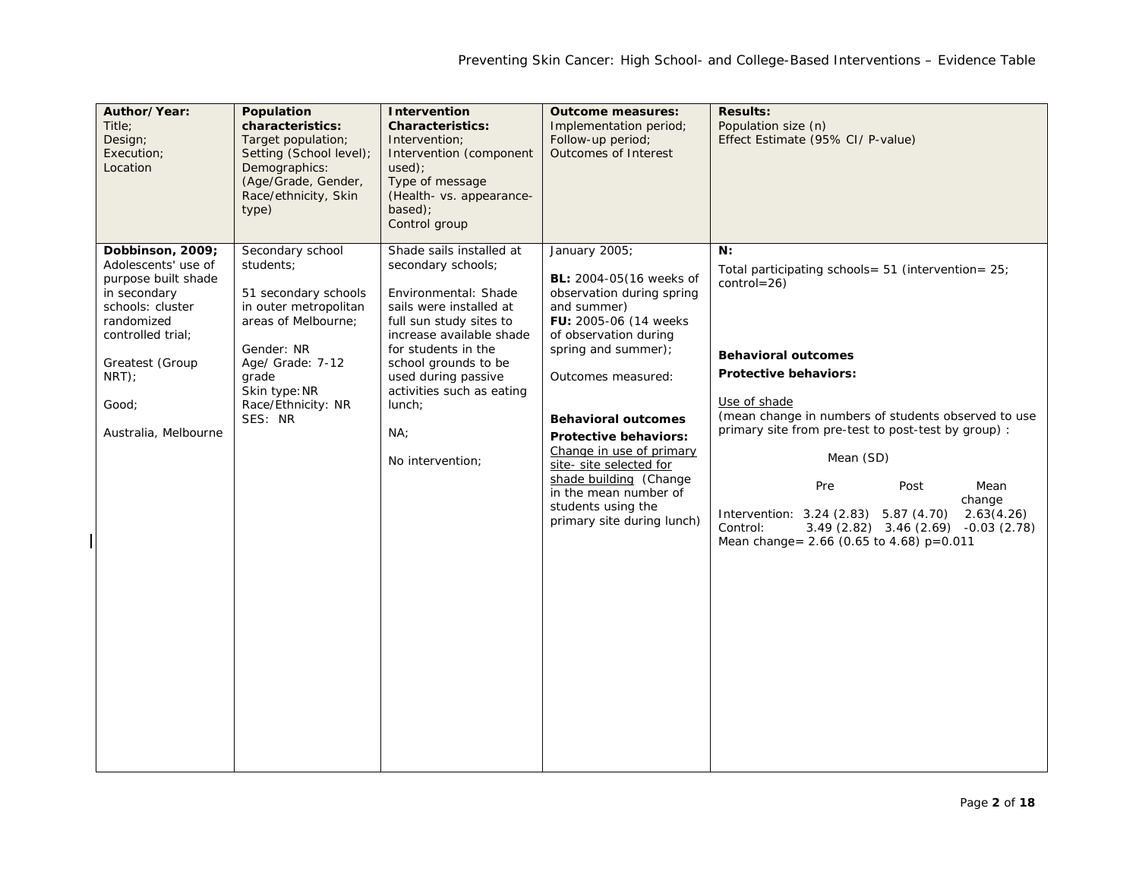| Author/Year:<br>Title;<br>Design;<br>Execution;<br>Location                                                                                                                                          | Population<br>characteristics:<br>Target population;<br>Setting (School level);<br>Demographics:<br>(Age/Grade, Gender,<br>Race/ethnicity, Skin<br>type)                                           | Intervention<br><b>Characteristics:</b><br>Intervention;<br>Intervention (component<br>used);<br>Type of message<br>(Health- vs. appearance-<br>$based$ :<br>Control group                                                                                                                       | <b>Outcome measures:</b><br>Implementation period;<br>Follow-up period;<br><b>Outcomes of Interest</b>                                                                                                                                                                                                                                                                                                           | <b>Results:</b><br>Population size (n)<br>Effect Estimate (95% CI/ P-value)                                                                                                                                                                                                                                                                                                                                                                                                              |
|------------------------------------------------------------------------------------------------------------------------------------------------------------------------------------------------------|----------------------------------------------------------------------------------------------------------------------------------------------------------------------------------------------------|--------------------------------------------------------------------------------------------------------------------------------------------------------------------------------------------------------------------------------------------------------------------------------------------------|------------------------------------------------------------------------------------------------------------------------------------------------------------------------------------------------------------------------------------------------------------------------------------------------------------------------------------------------------------------------------------------------------------------|------------------------------------------------------------------------------------------------------------------------------------------------------------------------------------------------------------------------------------------------------------------------------------------------------------------------------------------------------------------------------------------------------------------------------------------------------------------------------------------|
| Dobbinson, 2009;<br>Adolescents' use of<br>purpose built shade<br>in secondary<br>schools: cluster<br>randomized<br>controlled trial;<br>Greatest (Group<br>$NRT$ :<br>Good;<br>Australia, Melbourne | Secondary school<br>students;<br>51 secondary schools<br>in outer metropolitan<br>areas of Melbourne;<br>Gender: NR<br>Age/ Grade: 7-12<br>grade<br>Skin type: NR<br>Race/Ethnicity: NR<br>SES: NR | Shade sails installed at<br>secondary schools;<br>Environmental: Shade<br>sails were installed at<br>full sun study sites to<br>increase available shade<br>for students in the<br>school grounds to be<br>used during passive<br>activities such as eating<br>lunch;<br>NA;<br>No intervention; | January 2005;<br><b>BL:</b> 2004-05(16 weeks of<br>observation during spring<br>and summer)<br>FU: 2005-06 (14 weeks)<br>of observation during<br>spring and summer);<br>Outcomes measured:<br><b>Behavioral outcomes</b><br>Protective behaviors:<br>Change in use of primary<br>site- site selected for<br>shade building (Change<br>in the mean number of<br>students using the<br>primary site during lunch) | N:<br>Total participating schools = $51$ (intervention = $25$ )<br>$control = 26$<br><b>Behavioral outcomes</b><br><b>Protective behaviors:</b><br>Use of shade<br>(mean change in numbers of students observed to use<br>primary site from pre-test to post-test by group) :<br>Mean (SD)<br>Pre<br>Post<br>Mean<br>change<br>Intervention: 3.24 (2.83) 5.87 (4.70)<br>2.63(4.26)<br>Control:<br>$3.49(2.82)$ $3.46(2.69)$ $-0.03(2.78)$<br>Mean change = $2.66$ (0.65 to 4.68) p=0.011 |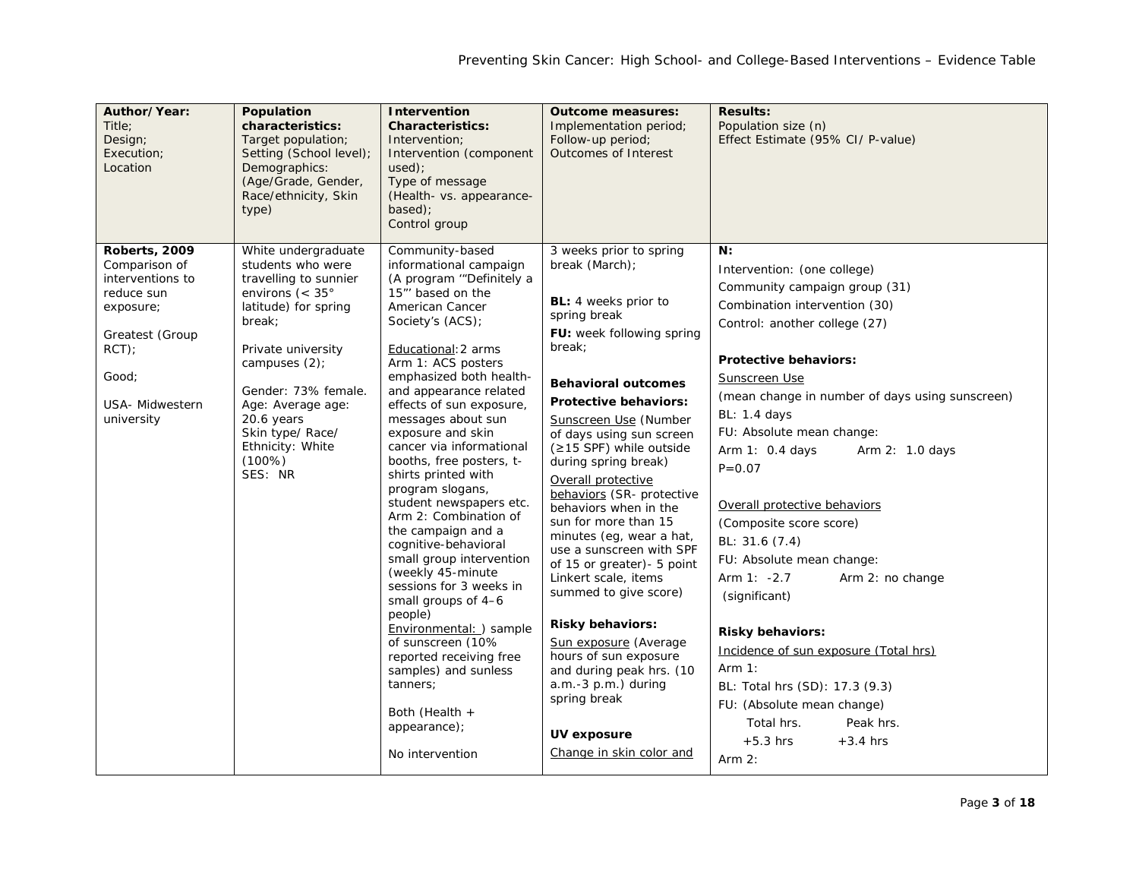| Author/Year:<br>Title:<br>Design;<br>Execution;<br>Location                                                                                                   | Population<br>characteristics:<br>Target population;<br>Setting (School level);<br>Demographics:<br>(Age/Grade, Gender,<br>Race/ethnicity, Skin<br>type)                                                                                                                                          | Intervention<br><b>Characteristics:</b><br>Intervention;<br>Intervention (component<br>used);<br>Type of message<br>(Health- vs. appearance-<br>based);<br>Control group                                                                                                                                                                                                                                                                                                                                                                                                                                                                                                                                                                                                                          | <b>Outcome measures:</b><br>Implementation period;<br>Follow-up period;<br>Outcomes of Interest                                                                                                                                                                                                                                                                                                                                                                                                                                                                                                                                                                                                                                              | <b>Results:</b><br>Population size (n)<br>Effect Estimate (95% CI/ P-value)                                                                                                                                                                                                                                                                                                                                                                                                                                                                                                                                                                                                                                                         |
|---------------------------------------------------------------------------------------------------------------------------------------------------------------|---------------------------------------------------------------------------------------------------------------------------------------------------------------------------------------------------------------------------------------------------------------------------------------------------|---------------------------------------------------------------------------------------------------------------------------------------------------------------------------------------------------------------------------------------------------------------------------------------------------------------------------------------------------------------------------------------------------------------------------------------------------------------------------------------------------------------------------------------------------------------------------------------------------------------------------------------------------------------------------------------------------------------------------------------------------------------------------------------------------|----------------------------------------------------------------------------------------------------------------------------------------------------------------------------------------------------------------------------------------------------------------------------------------------------------------------------------------------------------------------------------------------------------------------------------------------------------------------------------------------------------------------------------------------------------------------------------------------------------------------------------------------------------------------------------------------------------------------------------------------|-------------------------------------------------------------------------------------------------------------------------------------------------------------------------------------------------------------------------------------------------------------------------------------------------------------------------------------------------------------------------------------------------------------------------------------------------------------------------------------------------------------------------------------------------------------------------------------------------------------------------------------------------------------------------------------------------------------------------------------|
| <b>Roberts, 2009</b><br>Comparison of<br>interventions to<br>reduce sun<br>exposure;<br>Greatest (Group<br>$RCT$ );<br>Good:<br>USA- Midwestern<br>university | White undergraduate<br>students who were<br>travelling to sunnier<br>environs ( $<$ 35 $^{\circ}$<br>latitude) for spring<br>break;<br>Private university<br>campuses (2);<br>Gender: 73% female.<br>Age: Average age:<br>20.6 years<br>Skin type/ Race/<br>Ethnicity: White<br>(100%)<br>SES: NR | Community-based<br>informational campaign<br>(A program "Definitely a<br>15"' based on the<br>American Cancer<br>Society's (ACS);<br>Educational: 2 arms<br>Arm 1: ACS posters<br>emphasized both health-<br>and appearance related<br>effects of sun exposure,<br>messages about sun<br>exposure and skin<br>cancer via informational<br>booths, free posters, t-<br>shirts printed with<br>program slogans,<br>student newspapers etc.<br>Arm 2: Combination of<br>the campaign and a<br>cognitive-behavioral<br>small group intervention<br>(weekly 45-minute<br>sessions for 3 weeks in<br>small groups of 4-6<br>people)<br>Environmental: ) sample<br>of sunscreen (10%<br>reported receiving free<br>samples) and sunless<br>tanners;<br>Both (Health +<br>appearance);<br>No intervention | 3 weeks prior to spring<br>break (March);<br><b>BL:</b> 4 weeks prior to<br>spring break<br>FU: week following spring<br>break;<br><b>Behavioral outcomes</b><br><b>Protective behaviors:</b><br>Sunscreen Use (Number<br>of days using sun screen<br>(≥15 SPF) while outside<br>during spring break)<br>Overall protective<br>behaviors (SR- protective<br>behaviors when in the<br>sun for more than 15<br>minutes (eg, wear a hat,<br>use a sunscreen with SPF<br>of 15 or greater) - 5 point<br>Linkert scale, items<br>summed to give score)<br><b>Risky behaviors:</b><br>Sun exposure (Average<br>hours of sun exposure<br>and during peak hrs. (10<br>a.m.-3 p.m.) during<br>spring break<br>UV exposure<br>Change in skin color and | N:<br>Intervention: (one college)<br>Community campaign group (31)<br>Combination intervention (30)<br>Control: another college (27)<br><b>Protective behaviors:</b><br>Sunscreen Use<br>(mean change in number of days using sunscreen)<br><b>BL: 1.4 days</b><br>FU: Absolute mean change:<br>Arm 1: 0.4 days<br>Arm 2: 1.0 days<br>$P = 0.07$<br>Overall protective behaviors<br>(Composite score score)<br>BL: 31.6 (7.4)<br>FU: Absolute mean change:<br>Arm $1: -2.7$<br>Arm 2: no change<br>(significant)<br><b>Risky behaviors:</b><br>Incidence of sun exposure (Total hrs)<br>Arm $1:$<br>BL: Total hrs (SD): 17.3 (9.3)<br>FU: (Absolute mean change)<br>Total hrs.<br>Peak hrs.<br>$+5.3$ hrs<br>$+3.4$ hrs<br>Arm $2:$ |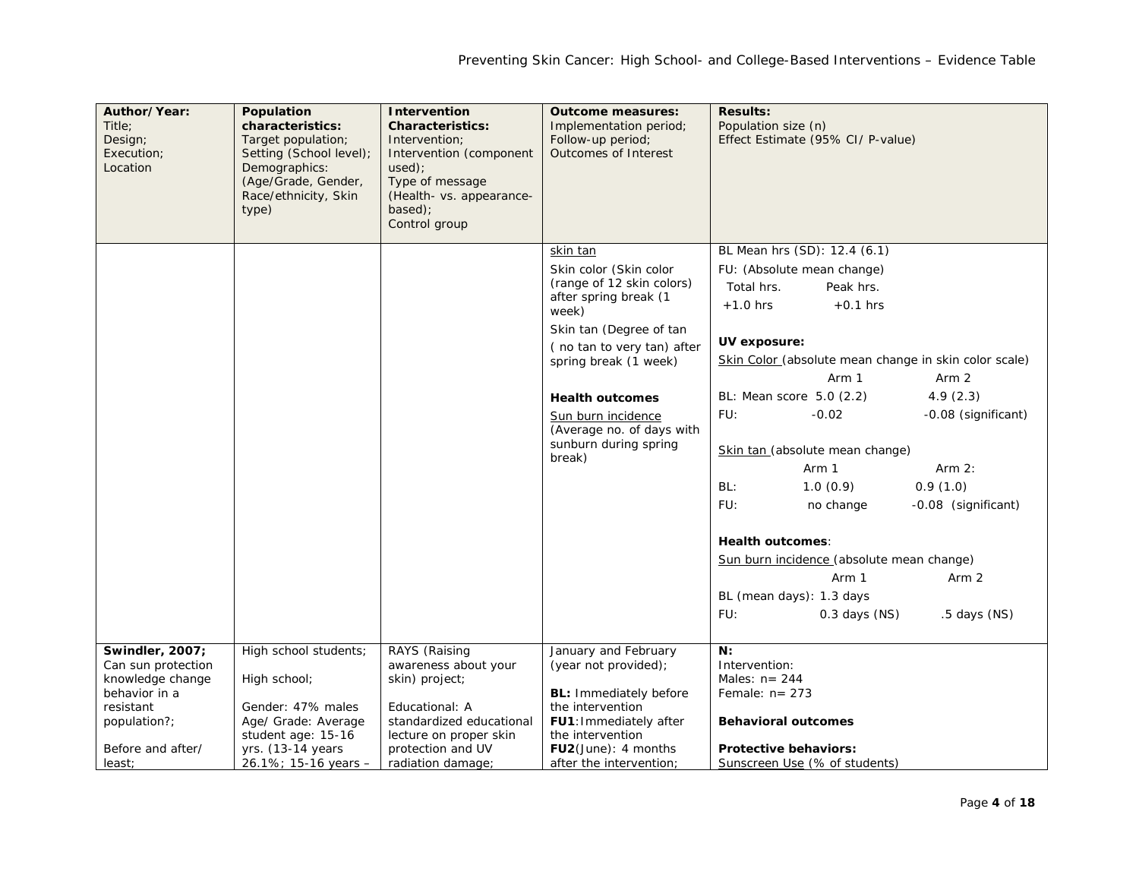| Author/Year:<br>Title:<br>Design;<br>Execution;<br>Location | Population<br>characteristics:<br>Target population;<br>Setting (School level);<br>Demographics:<br>(Age/Grade, Gender,<br>Race/ethnicity, Skin<br>type) | <b>Intervention</b><br><b>Characteristics:</b><br>Intervention:<br>Intervention (component<br>used);<br>Type of message<br>(Health- vs. appearance-<br>based);<br>Control group | <b>Outcome measures:</b><br>Implementation period;<br>Follow-up period;<br>Outcomes of Interest | <b>Results:</b><br>Population size (n)<br>Effect Estimate (95% CI/ P-value) |
|-------------------------------------------------------------|----------------------------------------------------------------------------------------------------------------------------------------------------------|---------------------------------------------------------------------------------------------------------------------------------------------------------------------------------|-------------------------------------------------------------------------------------------------|-----------------------------------------------------------------------------|
|                                                             |                                                                                                                                                          |                                                                                                                                                                                 | skin tan                                                                                        | BL Mean hrs (SD): 12.4 (6.1)                                                |
|                                                             |                                                                                                                                                          |                                                                                                                                                                                 | Skin color (Skin color                                                                          | FU: (Absolute mean change)                                                  |
|                                                             |                                                                                                                                                          |                                                                                                                                                                                 | (range of 12 skin colors)<br>after spring break (1                                              | Total hrs.<br>Peak hrs.                                                     |
|                                                             |                                                                                                                                                          |                                                                                                                                                                                 | week)                                                                                           | $+1.0$ hrs<br>$+0.1$ hrs                                                    |
|                                                             |                                                                                                                                                          |                                                                                                                                                                                 | Skin tan (Degree of tan                                                                         |                                                                             |
|                                                             |                                                                                                                                                          |                                                                                                                                                                                 | (no tan to very tan) after                                                                      | UV exposure:                                                                |
|                                                             |                                                                                                                                                          |                                                                                                                                                                                 | spring break (1 week)                                                                           | Skin Color (absolute mean change in skin color scale)                       |
|                                                             |                                                                                                                                                          |                                                                                                                                                                                 |                                                                                                 | Arm 1<br>Arm 2                                                              |
|                                                             |                                                                                                                                                          |                                                                                                                                                                                 | <b>Health outcomes</b>                                                                          | BL: Mean score 5.0 (2.2)<br>4.9(2.3)                                        |
|                                                             |                                                                                                                                                          |                                                                                                                                                                                 | Sun burn incidence<br>(Average no. of days with                                                 | FU:<br>$-0.02$<br>-0.08 (significant)                                       |
|                                                             |                                                                                                                                                          |                                                                                                                                                                                 | sunburn during spring                                                                           | Skin tan (absolute mean change)                                             |
|                                                             |                                                                                                                                                          |                                                                                                                                                                                 | break)                                                                                          | Arm $2:$<br>Arm 1                                                           |
|                                                             |                                                                                                                                                          |                                                                                                                                                                                 |                                                                                                 | 0.9(1.0)<br>BL:<br>1.0(0.9)                                                 |
|                                                             |                                                                                                                                                          |                                                                                                                                                                                 |                                                                                                 | FU:<br>-0.08 (significant)<br>no change                                     |
|                                                             |                                                                                                                                                          |                                                                                                                                                                                 |                                                                                                 | <b>Health outcomes:</b>                                                     |
|                                                             |                                                                                                                                                          |                                                                                                                                                                                 |                                                                                                 | Sun burn incidence (absolute mean change)                                   |
|                                                             |                                                                                                                                                          |                                                                                                                                                                                 |                                                                                                 | Arm 1<br>Arm 2                                                              |
|                                                             |                                                                                                                                                          |                                                                                                                                                                                 |                                                                                                 | BL (mean days): 1.3 days                                                    |
|                                                             |                                                                                                                                                          |                                                                                                                                                                                 |                                                                                                 | FU:<br>$0.3$ days $(NS)$<br>$.5$ days $(NS)$                                |
| Swindler, 2007;                                             | High school students;                                                                                                                                    | RAYS (Raising                                                                                                                                                                   | January and February                                                                            | N:                                                                          |
| Can sun protection                                          |                                                                                                                                                          | awareness about your                                                                                                                                                            | (year not provided);                                                                            | Intervention:                                                               |
| knowledge change                                            | High school;                                                                                                                                             | skin) project;                                                                                                                                                                  |                                                                                                 | Males: $n = 244$                                                            |
| behavior in a<br>resistant                                  | Gender: 47% males                                                                                                                                        | Educational: A                                                                                                                                                                  | <b>BL:</b> Immediately before<br>the intervention                                               | Female: $n = 273$                                                           |
| population?;                                                | Age/ Grade: Average                                                                                                                                      | standardized educational                                                                                                                                                        | FU1: Immediately after                                                                          | <b>Behavioral outcomes</b>                                                  |
|                                                             | student age: 15-16                                                                                                                                       | lecture on proper skin                                                                                                                                                          | the intervention                                                                                |                                                                             |
| Before and after/                                           | yrs. (13-14 years                                                                                                                                        | protection and UV                                                                                                                                                               | FU2(June): 4 months                                                                             | <b>Protective behaviors:</b>                                                |
| least;                                                      | 26.1%; 15-16 years $-$                                                                                                                                   | radiation damage;                                                                                                                                                               | after the intervention;                                                                         | Sunscreen Use (% of students)                                               |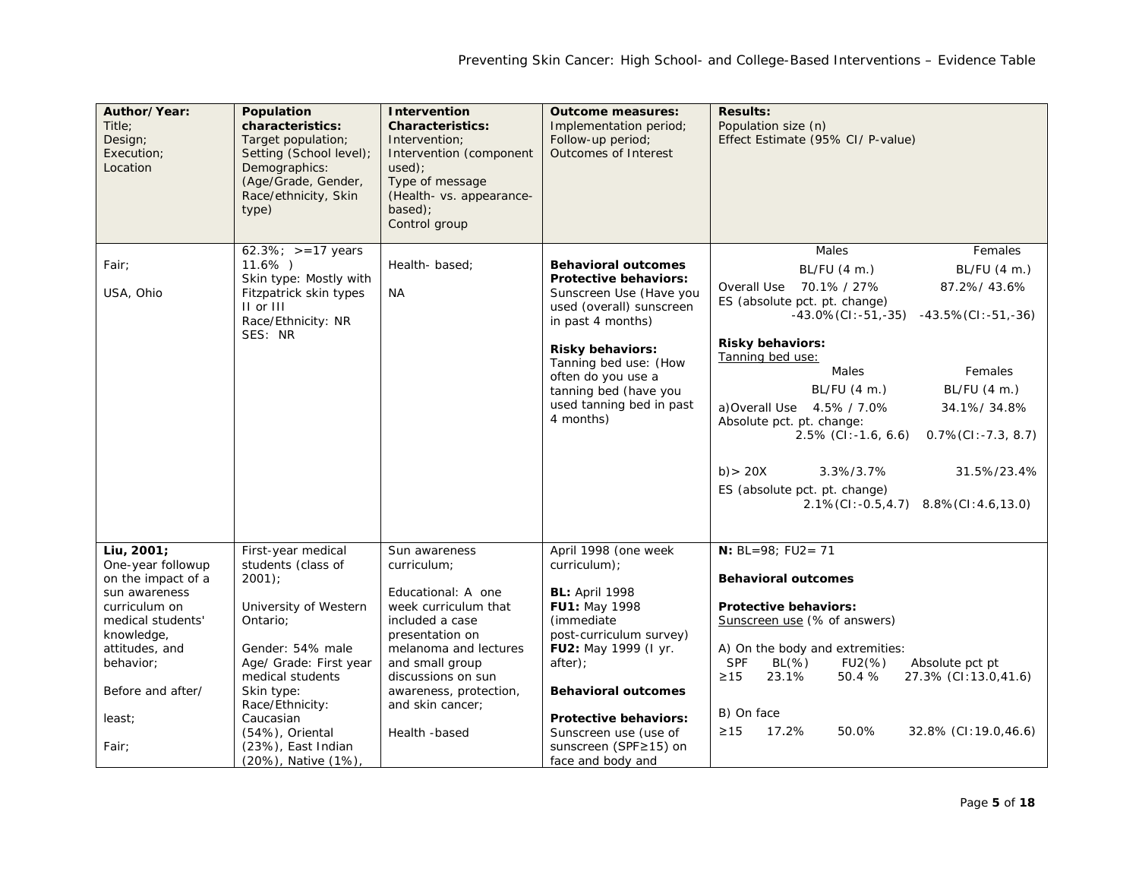| Author/Year:<br>Title:<br>Design;<br>Execution;<br>Location                                                                                                                                       | Population<br>characteristics:<br>Target population;<br>Setting (School level);<br>Demographics:<br>(Age/Grade, Gender,<br>Race/ethnicity, Skin<br>type)                                                                                                                   | <b>Intervention</b><br><b>Characteristics:</b><br>Intervention;<br>Intervention (component<br>used):<br>Type of message<br>(Health- vs. appearance-<br>based);<br>Control group                                                                   | <b>Outcome measures:</b><br>Implementation period;<br>Follow-up period;<br>Outcomes of Interest                                                                                                                                                                                                  | <b>Results:</b><br>Population size (n)<br>Effect Estimate (95% CI/ P-value)                                                                                                                                                                                                                                                                                                                                                                                                                                                                    |
|---------------------------------------------------------------------------------------------------------------------------------------------------------------------------------------------------|----------------------------------------------------------------------------------------------------------------------------------------------------------------------------------------------------------------------------------------------------------------------------|---------------------------------------------------------------------------------------------------------------------------------------------------------------------------------------------------------------------------------------------------|--------------------------------------------------------------------------------------------------------------------------------------------------------------------------------------------------------------------------------------------------------------------------------------------------|------------------------------------------------------------------------------------------------------------------------------------------------------------------------------------------------------------------------------------------------------------------------------------------------------------------------------------------------------------------------------------------------------------------------------------------------------------------------------------------------------------------------------------------------|
| Fair;<br>USA, Ohio                                                                                                                                                                                | $62.3\%$ ; >=17 years<br>$11.6\%$ )<br>Skin type: Mostly with<br>Fitzpatrick skin types<br>II or III<br>Race/Ethnicity: NR<br>SES: NR                                                                                                                                      | Health-based;<br><b>NA</b>                                                                                                                                                                                                                        | <b>Behavioral outcomes</b><br><b>Protective behaviors:</b><br>Sunscreen Use (Have you<br>used (overall) sunscreen<br>in past 4 months)<br><b>Risky behaviors:</b><br>Tanning bed use: (How<br>often do you use a<br>tanning bed (have you<br>used tanning bed in past<br>4 months)               | Males<br>Females<br>BL/FU (4 m.)<br>BL/FU (4 m.)<br>Overall Use 70.1% / 27%<br>87.2%/43.6%<br>ES (absolute pct. pt. change)<br>$-43.0\%$ (CI: $-51, -35$ ) $-43.5\%$ (CI: $-51, -36$ )<br><b>Risky behaviors:</b><br>Tanning bed use:<br>Males<br>Females<br>BL/FU (4 m.)<br>BL/FU (4 m.)<br>a) Overall Use 4.5% / 7.0%<br>34.1%/34.8%<br>Absolute pct. pt. change:<br>$2.5\%$ (CI:-1.6, 6.6)<br>$0.7\%$ (CI: -7.3, 8.7)<br>$b)$ > 20X<br>$3.3\%/3.7\%$<br>31.5%/23.4%<br>ES (absolute pct. pt. change)<br>2.1%(CI:-0.5,4.7) 8.8%(CI:4.6,13.0) |
| Liu, 2001;<br>One-year followup<br>on the impact of a<br>sun awareness<br>curriculum on<br>medical students'<br>knowledge,<br>attitudes, and<br>behavior;<br>Before and after/<br>least;<br>Fair; | First-year medical<br>students (class of<br>$2001$ );<br>University of Western<br>Ontario:<br>Gender: 54% male<br>Age/ Grade: First year<br>medical students<br>Skin type:<br>Race/Ethnicity:<br>Caucasian<br>(54%), Oriental<br>(23%), East Indian<br>(20%), Native (1%), | Sun awareness<br>curriculum;<br>Educational: A one<br>week curriculum that<br>included a case<br>presentation on<br>melanoma and lectures<br>and small group<br>discussions on sun<br>awareness, protection,<br>and skin cancer;<br>Health -based | April 1998 (one week<br>curriculum):<br><b>BL: April 1998</b><br>FU1: May 1998<br>(immediate)<br>post-curriculum survey)<br>FU2: May 1999 (I yr.<br>after);<br><b>Behavioral outcomes</b><br><b>Protective behaviors:</b><br>Sunscreen use (use of<br>sunscreen (SPF≥15) on<br>face and body and | $N: BL=98; FU2 = 71$<br><b>Behavioral outcomes</b><br><b>Protective behaviors:</b><br>Sunscreen use (% of answers)<br>A) On the body and extremities:<br><b>SPF</b><br>$BL(\%)$<br>$FU2(\%)$<br>Absolute pct pt<br>$\geq$ 15<br>23.1%<br>50.4 %<br>27.3% (CI:13.0,41.6)<br>B) On face<br>$\geq$ 15<br>17.2%<br>50.0%<br>32.8% (CI:19.0,46.6)                                                                                                                                                                                                   |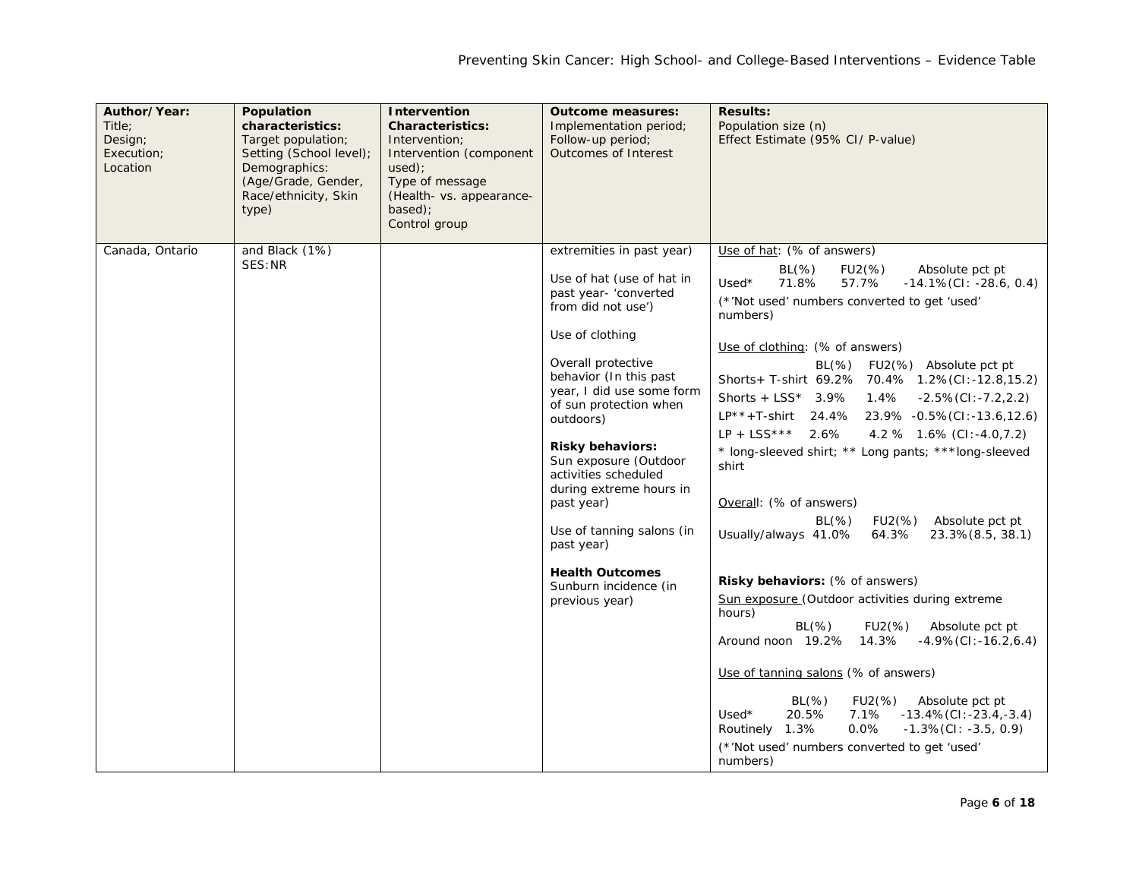| Author/Year:<br>Title:<br>Design;<br>Execution;<br>Location | Population<br>characteristics:<br>Target population;<br>Setting (School level);<br>Demographics:<br>(Age/Grade, Gender,<br>Race/ethnicity, Skin<br>type) | <b>Intervention</b><br><b>Characteristics:</b><br>Intervention;<br>Intervention (component<br>used);<br>Type of message<br>(Health- vs. appearance-<br>based);<br>Control group | <b>Outcome measures:</b><br>Implementation period;<br>Follow-up period;<br>Outcomes of Interest                                                                                                                                                                                                                                                                                                                                                                                   | <b>Results:</b><br>Population size (n)<br>Effect Estimate (95% CI/ P-value)                                                                                                                                                                                                                                                                                                                                                                                                                                                                                                                                                                                                                                                                                                                                                                                                                                                                                                                                                                                                                                                                                                  |
|-------------------------------------------------------------|----------------------------------------------------------------------------------------------------------------------------------------------------------|---------------------------------------------------------------------------------------------------------------------------------------------------------------------------------|-----------------------------------------------------------------------------------------------------------------------------------------------------------------------------------------------------------------------------------------------------------------------------------------------------------------------------------------------------------------------------------------------------------------------------------------------------------------------------------|------------------------------------------------------------------------------------------------------------------------------------------------------------------------------------------------------------------------------------------------------------------------------------------------------------------------------------------------------------------------------------------------------------------------------------------------------------------------------------------------------------------------------------------------------------------------------------------------------------------------------------------------------------------------------------------------------------------------------------------------------------------------------------------------------------------------------------------------------------------------------------------------------------------------------------------------------------------------------------------------------------------------------------------------------------------------------------------------------------------------------------------------------------------------------|
| Canada, Ontario                                             | and Black (1%)<br>SES: NR                                                                                                                                |                                                                                                                                                                                 | extremities in past year)<br>Use of hat (use of hat in<br>past year- 'converted<br>from did not use')<br>Use of clothing<br>Overall protective<br>behavior (In this past<br>year, I did use some form<br>of sun protection when<br>outdoors)<br><b>Risky behaviors:</b><br>Sun exposure (Outdoor<br>activities scheduled<br>during extreme hours in<br>past year)<br>Use of tanning salons (in<br>past year)<br><b>Health Outcomes</b><br>Sunburn incidence (in<br>previous year) | Use of hat: (% of answers)<br>$BL(\%)$<br>$FU2(\%)$<br>Absolute pct pt<br>71.8%<br>57.7%<br>$-14.1\%$ (CI: $-28.6, 0.4$ )<br>Used*<br>(*'Not used' numbers converted to get 'used'<br>numbers)<br>Use of clothing: (% of answers)<br>$BL(\%)$<br>FU2(%) Absolute pct pt<br>Shorts+ T-shirt 69.2% 70.4% 1.2%(CI:-12.8,15.2)<br>Shorts + $LSS^*$ 3.9%<br>1.4%<br>-2.5%(CI:-7.2,2.2)<br>$LP^{**} + T$ -shirt 24.4% 23.9% -0.5% (CI:-13.6,12.6)<br>$LP + LSS***$ 2.6%<br>4.2 % 1.6% (CI:-4.0,7.2)<br>* long-sleeved shirt; ** Long pants; *** long-sleeved<br>shirt<br>Overall: (% of answers)<br>$BL(\%)$<br>FU2(%)<br>Absolute pct pt<br>Usually/always 41.0%<br>64.3%<br>$23.3\%$ $(8.5, 38.1)$<br>Risky behaviors: (% of answers)<br>Sun exposure (Outdoor activities during extreme<br>hours)<br>$BL(\%)$<br>FU2(%)<br>Absolute pct pt<br>Around noon 19.2%<br>14.3%<br>$-4.9\%$ (CI: $-16.2, 6.4$ )<br>Use of tanning salons (% of answers)<br>$BL(\%)$<br>FU2(%) Absolute pct pt<br>20.5%<br>$Used*$<br>7.1%<br>$-13.4\%$ (CI: $-23.4$ , $-3.4$ )<br>Routinely 1.3%<br>$0.0\%$<br>$-1.3\%$ (CI: $-3.5, 0.9$ )<br>(*'Not used' numbers converted to get 'used'<br>numbers) |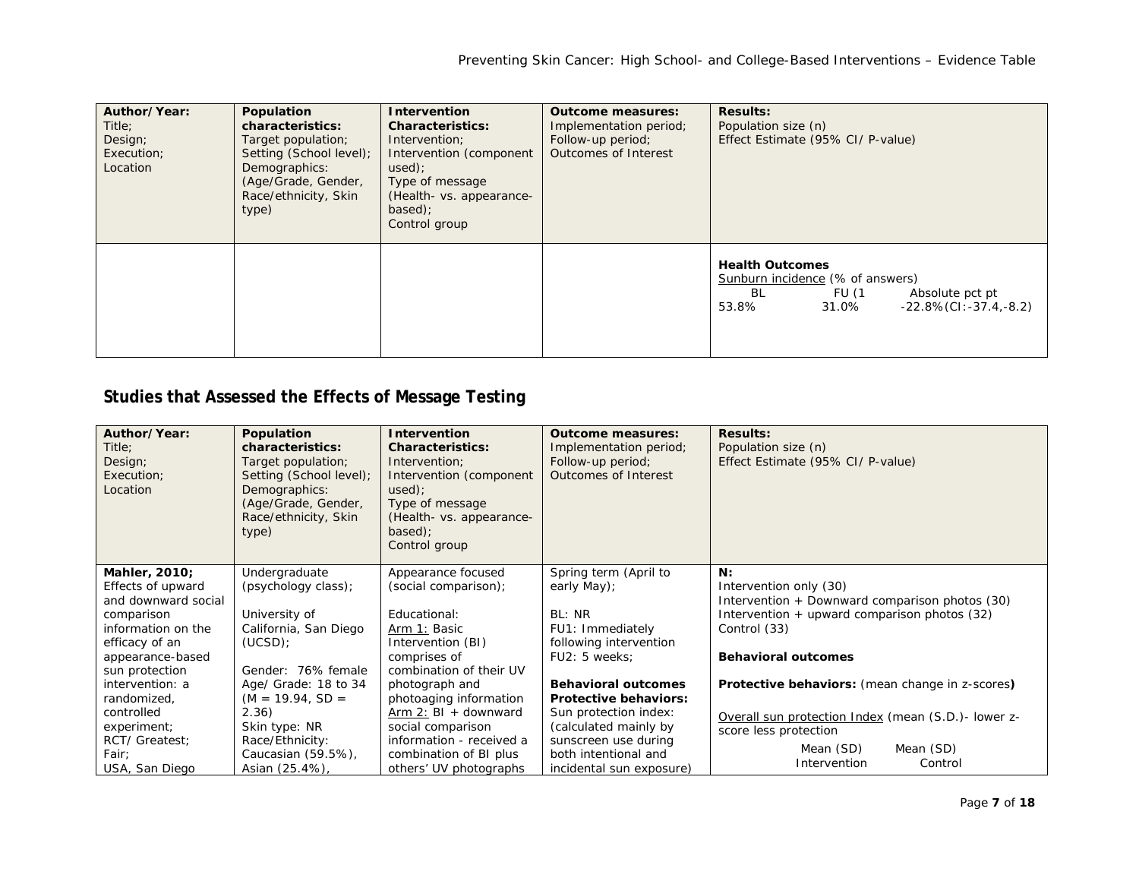| Author/Year:<br>Title:<br>Design;<br>Execution;<br>Location | Population<br>characteristics:<br>Target population;<br>Setting (School level);<br>Demographics:<br>(Age/Grade, Gender,<br>Race/ethnicity, Skin<br>type) | <b>Intervention</b><br><b>Characteristics:</b><br>Intervention;<br>Intervention (component<br>used)<br>Type of message<br>(Health- vs. appearance-<br>$based$ :<br>Control group | <b>Outcome measures:</b><br>Implementation period;<br>Follow-up period;<br>Outcomes of Interest | <b>Results:</b><br>Population size (n)<br>Effect Estimate (95% CI/ P-value)                                                                         |
|-------------------------------------------------------------|----------------------------------------------------------------------------------------------------------------------------------------------------------|----------------------------------------------------------------------------------------------------------------------------------------------------------------------------------|-------------------------------------------------------------------------------------------------|-----------------------------------------------------------------------------------------------------------------------------------------------------|
|                                                             |                                                                                                                                                          |                                                                                                                                                                                  |                                                                                                 | <b>Health Outcomes</b><br>Sunburn incidence (% of answers)<br>BL<br>FU (1<br>Absolute pct pt<br>$-22.8\%$ (CI: $-37.4$ , $-8.2$ )<br>53.8%<br>31.0% |

## **Studies that Assessed the Effects of Message Testing**

| Author/Year:<br>Title:<br>Design;<br>Execution;<br>Location | Population<br>characteristics:<br>Target population;<br>Setting (School level);<br>Demographics:<br>(Age/Grade, Gender,<br>Race/ethnicity, Skin<br>type) | <b>Intervention</b><br><b>Characteristics:</b><br>Intervention;<br>Intervention (component<br>used)<br>Type of message<br>(Health- vs. appearance-<br>$based$ :<br>Control group | <b>Outcome measures:</b><br>Implementation period;<br>Follow-up period;<br>Outcomes of Interest | <b>Results:</b><br>Population size (n)<br>Effect Estimate (95% CI/ P-value)                      |
|-------------------------------------------------------------|----------------------------------------------------------------------------------------------------------------------------------------------------------|----------------------------------------------------------------------------------------------------------------------------------------------------------------------------------|-------------------------------------------------------------------------------------------------|--------------------------------------------------------------------------------------------------|
| Mahler, 2010;                                               | Undergraduate                                                                                                                                            | Appearance focused                                                                                                                                                               | Spring term (April to                                                                           | N:                                                                                               |
| Effects of upward                                           | (psychology class);                                                                                                                                      | (social comparison);                                                                                                                                                             | early May);                                                                                     | Intervention only (30)                                                                           |
| and downward social<br>comparison                           | University of                                                                                                                                            | Educational:                                                                                                                                                                     | BL: NR                                                                                          | Intervention + Downward comparison photos (30)<br>Intervention $+$ upward comparison photos (32) |
| information on the                                          | California, San Diego                                                                                                                                    | Arm 1: Basic                                                                                                                                                                     | FU1: Immediately                                                                                | Control (33)                                                                                     |
| efficacy of an                                              | (UCSD)                                                                                                                                                   | Intervention (BI)                                                                                                                                                                | following intervention                                                                          |                                                                                                  |
| appearance-based                                            |                                                                                                                                                          | comprises of                                                                                                                                                                     | FU2: 5 weeks:                                                                                   | <b>Behavioral outcomes</b>                                                                       |
| sun protection                                              | Gender: 76% female                                                                                                                                       | combination of their UV                                                                                                                                                          |                                                                                                 |                                                                                                  |
| intervention: a                                             | Age/ Grade: 18 to 34                                                                                                                                     | photograph and                                                                                                                                                                   | <b>Behavioral outcomes</b>                                                                      | Protective behaviors: (mean change in z-scores)                                                  |
| randomized,                                                 | $(M = 19.94, SD =$                                                                                                                                       | photoaging information                                                                                                                                                           | <b>Protective behaviors:</b>                                                                    |                                                                                                  |
| controlled                                                  | 2.36)                                                                                                                                                    | Arm 2: $BI + downward$                                                                                                                                                           | Sun protection index:                                                                           | Overall sun protection Index (mean (S.D.) - lower z-                                             |
| experiment;                                                 | Skin type: NR                                                                                                                                            | social comparison                                                                                                                                                                | (calculated mainly by                                                                           | score less protection                                                                            |
| RCT/ Greatest:                                              | Race/Ethnicity:                                                                                                                                          | information - received a                                                                                                                                                         | sunscreen use during                                                                            | Mean (SD)<br>Mean (SD)                                                                           |
| Fair;                                                       | Caucasian (59.5%),                                                                                                                                       | combination of BI plus                                                                                                                                                           | both intentional and                                                                            | Control<br>Intervention                                                                          |
| USA, San Diego                                              | Asian (25.4%),                                                                                                                                           | others' UV photographs                                                                                                                                                           | incidental sun exposure)                                                                        |                                                                                                  |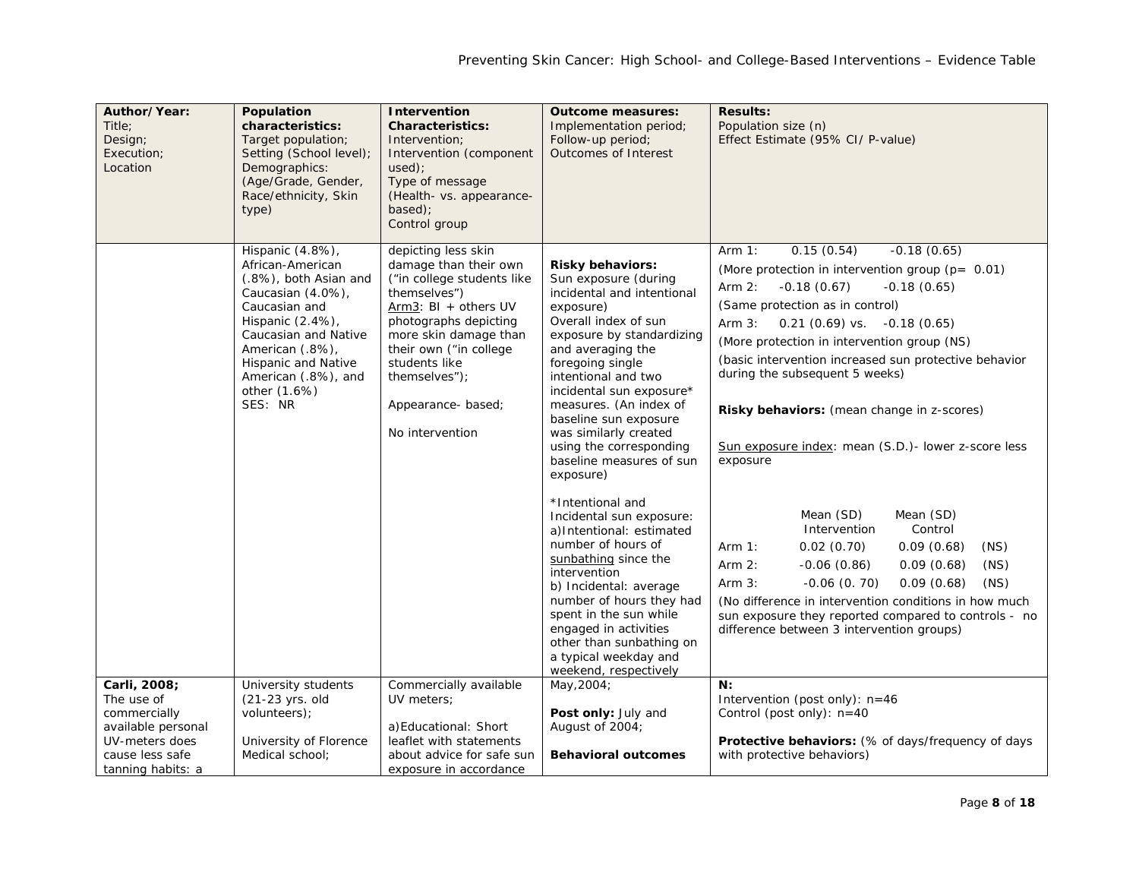| Author/Year:<br>Title:<br>Design;<br>Execution;<br>Location                                                                | Population<br>characteristics:<br>Target population;<br>Setting (School level);<br>Demographics:<br>(Age/Grade, Gender,<br>Race/ethnicity, Skin<br>type)                                                                                    | Intervention<br><b>Characteristics:</b><br>Intervention;<br>Intervention (component<br>$used$ :<br>Type of message<br>(Health- vs. appearance-<br>based);<br>Control group                                                                                                 | <b>Outcome measures:</b><br>Implementation period;<br>Follow-up period;<br><b>Outcomes of Interest</b>                                                                                                                                                                                                                                                                                                                                                                                                                                                                                                                                                                                                                       | <b>Results:</b><br>Population size (n)<br>Effect Estimate (95% CI/ P-value)                                                                                                                                                                                                                                                                                                                                                                                                                                                                                                                                                                                                                                                                                                                                                                                             |
|----------------------------------------------------------------------------------------------------------------------------|---------------------------------------------------------------------------------------------------------------------------------------------------------------------------------------------------------------------------------------------|----------------------------------------------------------------------------------------------------------------------------------------------------------------------------------------------------------------------------------------------------------------------------|------------------------------------------------------------------------------------------------------------------------------------------------------------------------------------------------------------------------------------------------------------------------------------------------------------------------------------------------------------------------------------------------------------------------------------------------------------------------------------------------------------------------------------------------------------------------------------------------------------------------------------------------------------------------------------------------------------------------------|-------------------------------------------------------------------------------------------------------------------------------------------------------------------------------------------------------------------------------------------------------------------------------------------------------------------------------------------------------------------------------------------------------------------------------------------------------------------------------------------------------------------------------------------------------------------------------------------------------------------------------------------------------------------------------------------------------------------------------------------------------------------------------------------------------------------------------------------------------------------------|
|                                                                                                                            | Hispanic (4.8%),<br>African-American<br>(.8%), both Asian and<br>Caucasian (4.0%),<br>Caucasian and<br>Hispanic (2.4%),<br>Caucasian and Native<br>American (.8%),<br>Hispanic and Native<br>American (.8%), and<br>other (1.6%)<br>SES: NR | depicting less skin<br>damage than their own<br>("in college students like<br>themselves")<br>Arm3: $BI + others UV$<br>photographs depicting<br>more skin damage than<br>their own ("in college<br>students like<br>themselves");<br>Appearance-based;<br>No intervention | <b>Risky behaviors:</b><br>Sun exposure (during<br>incidental and intentional<br>exposure)<br>Overall index of sun<br>exposure by standardizing<br>and averaging the<br>foregoing single<br>intentional and two<br>incidental sun exposure*<br>measures. (An index of<br>baseline sun exposure<br>was similarly created<br>using the corresponding<br>baseline measures of sun<br>exposure)<br>*Intentional and<br>Incidental sun exposure:<br>a)Intentional: estimated<br>number of hours of<br>sunbathing since the<br>intervention<br>b) Incidental: average<br>number of hours they had<br>spent in the sun while<br>engaged in activities<br>other than sunbathing on<br>a typical weekday and<br>weekend, respectively | 0.15(0.54)<br>$-0.18(0.65)$<br>Arm $1:$<br>(More protection in intervention group ( $p = 0.01$ )<br>$-0.18(0.65)$<br>Arm $2:$<br>$-0.18(0.67)$<br>(Same protection as in control)<br>$0.21(0.69)$ vs. $-0.18(0.65)$<br>Arm $3:$<br>(More protection in intervention group (NS)<br>(basic intervention increased sun protective behavior<br>during the subsequent 5 weeks)<br>Risky behaviors: (mean change in z-scores)<br>Sun exposure index: mean (S.D.) - lower z-score less<br>exposure<br>Mean (SD)<br>Mean (SD)<br>Intervention<br>Control<br>0.02(0.70)<br>0.09(0.68)<br>(NS)<br>Arm $1:$<br>(NS)<br>Arm $2:$<br>$-0.06(0.86)$<br>0.09(0.68)<br>(NS)<br>$-0.06$ $(0.70)$<br>0.09(0.68)<br>Arm $3:$<br>(No difference in intervention conditions in how much<br>sun exposure they reported compared to controls - no<br>difference between 3 intervention groups) |
| Carli, 2008;<br>The use of<br>commercially<br>available personal<br>UV-meters does<br>cause less safe<br>tanning habits: a | University students<br>(21-23 yrs. old<br>volunteers);<br>University of Florence<br>Medical school:                                                                                                                                         | Commercially available<br>UV meters;<br>a) Educational: Short<br>leaflet with statements<br>about advice for safe sun<br>exposure in accordance                                                                                                                            | May, 2004;<br>Post only: July and<br>August of 2004;<br><b>Behavioral outcomes</b>                                                                                                                                                                                                                                                                                                                                                                                                                                                                                                                                                                                                                                           | N:<br>Intervention (post only): n=46<br>Control (post only): $n=40$<br>Protective behaviors: (% of days/frequency of days<br>with protective behaviors)                                                                                                                                                                                                                                                                                                                                                                                                                                                                                                                                                                                                                                                                                                                 |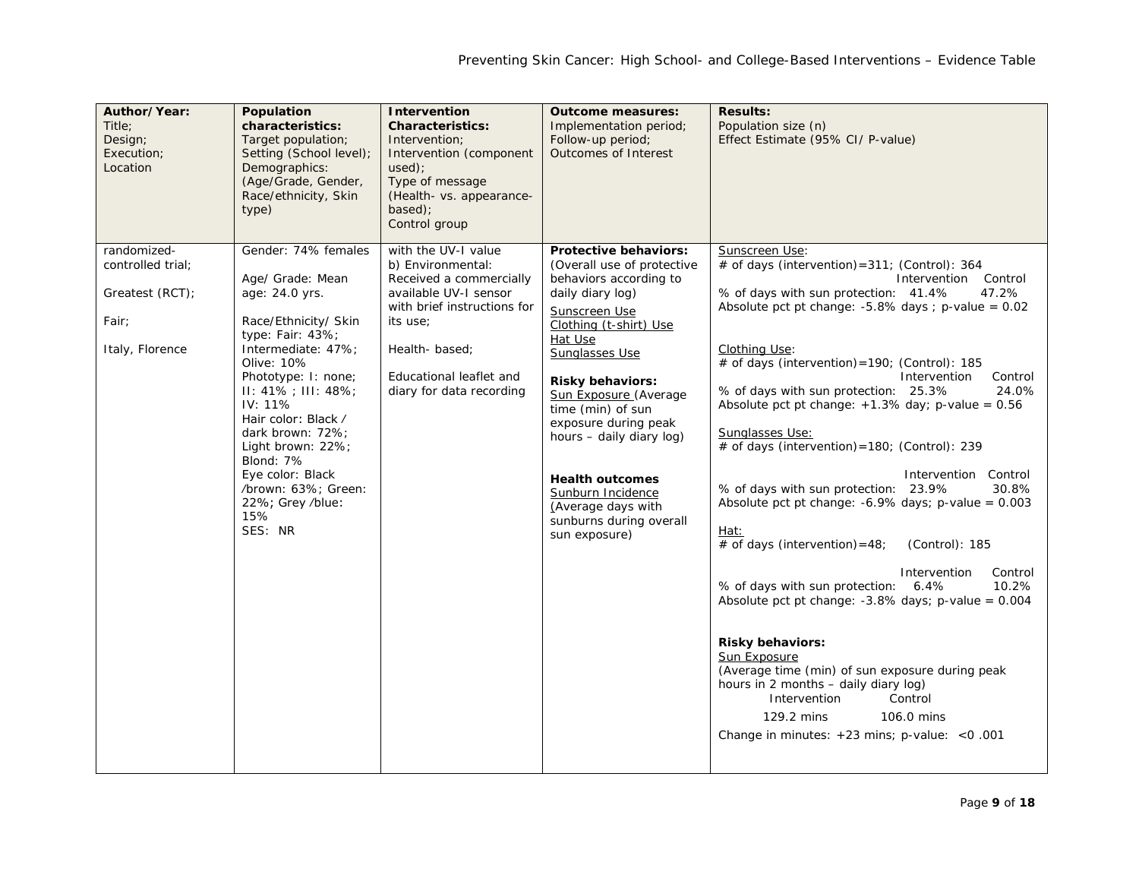| Author/Year:<br>Title:<br>Design;<br>Execution;<br>Location<br>randomized- | Population<br>characteristics:<br>Target population;<br>Setting (School level);<br>Demographics:<br>(Age/Grade, Gender,<br>Race/ethnicity, Skin<br>type)<br>Gender: 74% females                                                                                                                                                                  | <b>Intervention</b><br><b>Characteristics:</b><br>Intervention;<br>Intervention (component<br>used):<br>Type of message<br>(Health- vs. appearance-<br>based);<br>Control group<br>with the UV-I value | <b>Outcome measures:</b><br>Implementation period;<br>Follow-up period;<br><b>Outcomes of Interest</b><br>Protective behaviors:                                                                                                                                                                                                                                                                | <b>Results:</b><br>Population size (n)<br>Effect Estimate (95% CI/ P-value)<br>Sunscreen Use:                                                                                                                                                                                                                                                                                                                                                                                                                                                                                                                                                                                                                                                                                                                                                                                                                                                                                                                                                                    |
|----------------------------------------------------------------------------|--------------------------------------------------------------------------------------------------------------------------------------------------------------------------------------------------------------------------------------------------------------------------------------------------------------------------------------------------|--------------------------------------------------------------------------------------------------------------------------------------------------------------------------------------------------------|------------------------------------------------------------------------------------------------------------------------------------------------------------------------------------------------------------------------------------------------------------------------------------------------------------------------------------------------------------------------------------------------|------------------------------------------------------------------------------------------------------------------------------------------------------------------------------------------------------------------------------------------------------------------------------------------------------------------------------------------------------------------------------------------------------------------------------------------------------------------------------------------------------------------------------------------------------------------------------------------------------------------------------------------------------------------------------------------------------------------------------------------------------------------------------------------------------------------------------------------------------------------------------------------------------------------------------------------------------------------------------------------------------------------------------------------------------------------|
| controlled trial;<br>Greatest (RCT);<br>Fair;<br>Italy, Florence           | Age/ Grade: Mean<br>age: 24.0 yrs.<br>Race/Ethnicity/ Skin<br>type: Fair: $43\%$ ;<br>Intermediate: 47%;<br>Olive: 10%<br>Phototype: I: none;<br>$II: 41\% : III: 48\%$<br>IV: 11%<br>Hair color: Black /<br>dark brown: 72%;<br>Light brown: 22%;<br>Blond: 7%<br>Eye color: Black<br>/brown: 63%; Green:<br>22%; Grey /blue:<br>15%<br>SES: NR | b) Environmental:<br>Received a commercially<br>available UV-I sensor<br>with brief instructions for<br>its use;<br>Health-based;<br>Educational leaflet and<br>diary for data recording               | (Overall use of protective<br>behaviors according to<br>daily diary log)<br>Sunscreen Use<br>Clothing (t-shirt) Use<br>Hat Use<br>Sunglasses Use<br><b>Risky behaviors:</b><br>Sun Exposure (Average<br>time (min) of sun<br>exposure during peak<br>hours - daily diary log)<br><b>Health outcomes</b><br>Sunburn Incidence<br>(Average days with<br>sunburns during overall<br>sun exposure) | # of days (intervention) = 311; (Control): 364<br>Intervention Control<br>% of days with sun protection: 41.4%<br>47.2%<br>Absolute pct pt change: $-5.8\%$ days ; p-value = 0.02<br>Clothing Use:<br># of days (intervention) = 190; (Control): 185<br>Intervention<br>Control<br>% of days with sun protection: 25.3%<br>24.0%<br>Absolute pct pt change: $+1.3\%$ day; p-value = 0.56<br>Sunglasses Use:<br># of days (intervention) = 180; (Control): 239<br>Intervention Control<br>% of days with sun protection: 23.9%<br>30.8%<br>Absolute pct pt change: $-6.9\%$ days; p-value = 0.003<br><u>Hat:</u><br># of days (intervention) = $48$ ;<br>(Control): 185<br>Intervention<br>Control<br>% of days with sun protection:<br>6.4%<br>10.2%<br>Absolute pct pt change: $-3.8\%$ days; p-value = 0.004<br><b>Risky behaviors:</b><br>Sun Exposure<br>(Average time (min) of sun exposure during peak<br>hours in 2 months - daily diary log)<br>Intervention<br>Control<br>106.0 mins<br>129.2 mins<br>Change in minutes: $+23$ mins; p-value: < $0.001$ |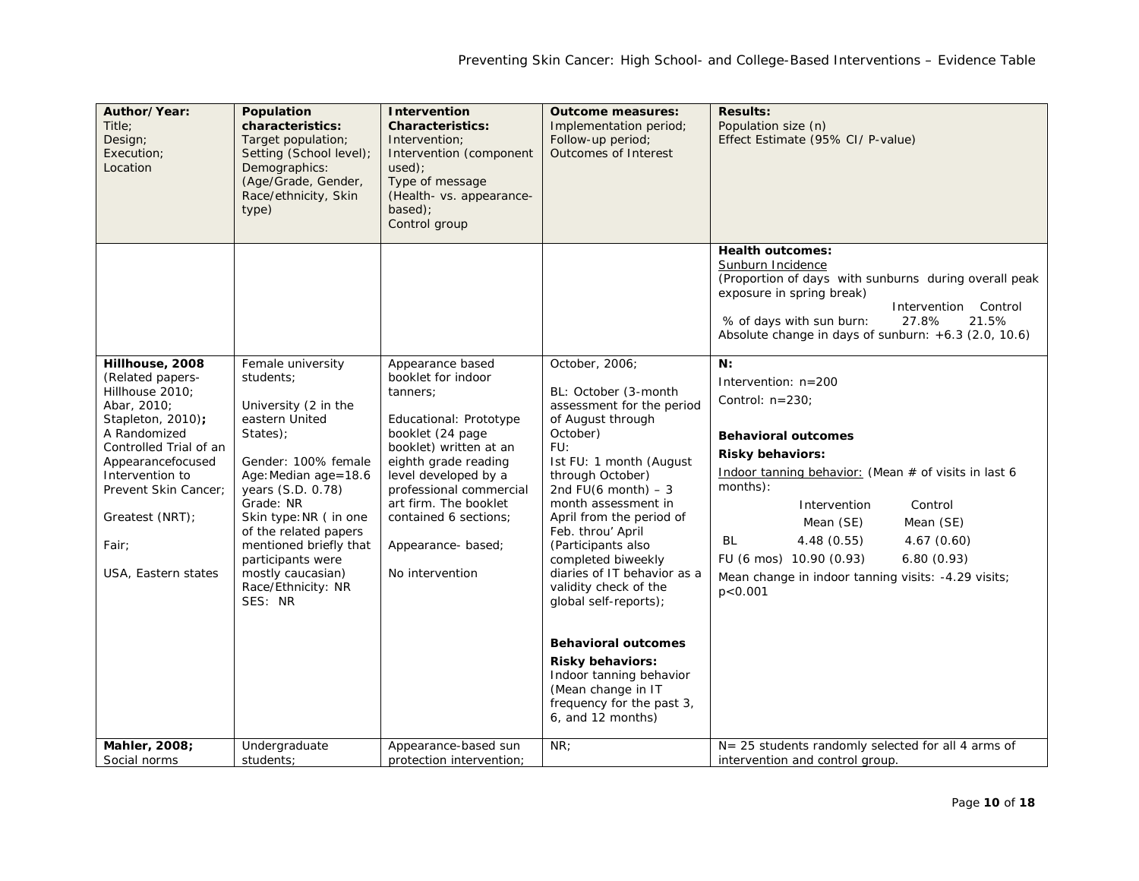| Author/Year:<br>Title:<br>Design;<br>Execution;<br>Location                                                                                                                                                                                             | Population<br>characteristics:<br>Target population;<br>Setting (School level);<br>Demographics:<br>(Age/Grade, Gender,<br>Race/ethnicity, Skin<br>type)                                                                                                                                                                     | <b>Intervention</b><br><b>Characteristics:</b><br>Intervention;<br>Intervention (component<br>$used)$ :<br>Type of message<br>(Health- vs. appearance-<br>based);<br>Control group                                                                                                                | <b>Outcome measures:</b><br>Implementation period;<br>Follow-up period;<br>Outcomes of Interest                                                                                                                                                                                                                                                                                                                                                                                                                                                     | <b>Results:</b><br>Population size (n)<br>Effect Estimate (95% CI/ P-value)                                                                                                                                                                                                                                                                                                   |
|---------------------------------------------------------------------------------------------------------------------------------------------------------------------------------------------------------------------------------------------------------|------------------------------------------------------------------------------------------------------------------------------------------------------------------------------------------------------------------------------------------------------------------------------------------------------------------------------|---------------------------------------------------------------------------------------------------------------------------------------------------------------------------------------------------------------------------------------------------------------------------------------------------|-----------------------------------------------------------------------------------------------------------------------------------------------------------------------------------------------------------------------------------------------------------------------------------------------------------------------------------------------------------------------------------------------------------------------------------------------------------------------------------------------------------------------------------------------------|-------------------------------------------------------------------------------------------------------------------------------------------------------------------------------------------------------------------------------------------------------------------------------------------------------------------------------------------------------------------------------|
|                                                                                                                                                                                                                                                         |                                                                                                                                                                                                                                                                                                                              |                                                                                                                                                                                                                                                                                                   |                                                                                                                                                                                                                                                                                                                                                                                                                                                                                                                                                     | <b>Health outcomes:</b><br>Sunburn Incidence<br>(Proportion of days with sunburns during overall peak<br>exposure in spring break)<br>Intervention Control<br>% of days with sun burn:<br>27.8%<br>21.5%<br>Absolute change in days of sunburn: +6.3 (2.0, 10.6)                                                                                                              |
| Hillhouse, 2008<br>(Related papers-<br>Hillhouse 2010;<br>Abar, 2010;<br>Stapleton, 2010);<br>A Randomized<br>Controlled Trial of an<br>Appearancefocused<br>Intervention to<br>Prevent Skin Cancer;<br>Greatest (NRT);<br>Fair;<br>USA, Eastern states | Female university<br>students;<br>University (2 in the<br>eastern United<br>States);<br>Gender: 100% female<br>Age: Median age=18.6<br>years (S.D. 0.78)<br>Grade: NR<br>Skin type: NR (in one<br>of the related papers<br>mentioned briefly that<br>participants were<br>mostly caucasian)<br>Race/Ethnicity: NR<br>SES: NR | Appearance based<br>booklet for indoor<br>tanners:<br>Educational: Prototype<br>booklet (24 page)<br>booklet) written at an<br>eighth grade reading<br>level developed by a<br>professional commercial<br>art firm. The booklet<br>contained 6 sections;<br>Appearance- based;<br>No intervention | October, 2006;<br>BL: October (3-month<br>assessment for the period<br>of August through<br>October)<br>FU:<br>Ist FU: 1 month (August<br>through October)<br>2nd FU(6 month) $-3$<br>month assessment in<br>April from the period of<br>Feb. throu' April<br>(Participants also<br>completed biweekly<br>diaries of IT behavior as a<br>validity check of the<br>global self-reports);<br><b>Behavioral outcomes</b><br><b>Risky behaviors:</b><br>Indoor tanning behavior<br>(Mean change in IT<br>frequency for the past 3,<br>6, and 12 months) | N:<br>Intervention: n=200<br>Control: n=230;<br><b>Behavioral outcomes</b><br><b>Risky behaviors:</b><br>Indoor tanning behavior: (Mean # of visits in last 6<br>months):<br>Control<br>Intervention<br>Mean (SE)<br>Mean (SE)<br>BL<br>4.48(0.55)<br>4.67(0.60)<br>FU (6 mos) 10.90 (0.93)<br>6.80(0.93)<br>Mean change in indoor tanning visits: -4.29 visits;<br>p < 0.001 |
| Mahler, 2008;<br>Social norms                                                                                                                                                                                                                           | Undergraduate<br>students;                                                                                                                                                                                                                                                                                                   | Appearance-based sun<br>protection intervention;                                                                                                                                                                                                                                                  | NR;                                                                                                                                                                                                                                                                                                                                                                                                                                                                                                                                                 | $N = 25$ students randomly selected for all 4 arms of<br>intervention and control group.                                                                                                                                                                                                                                                                                      |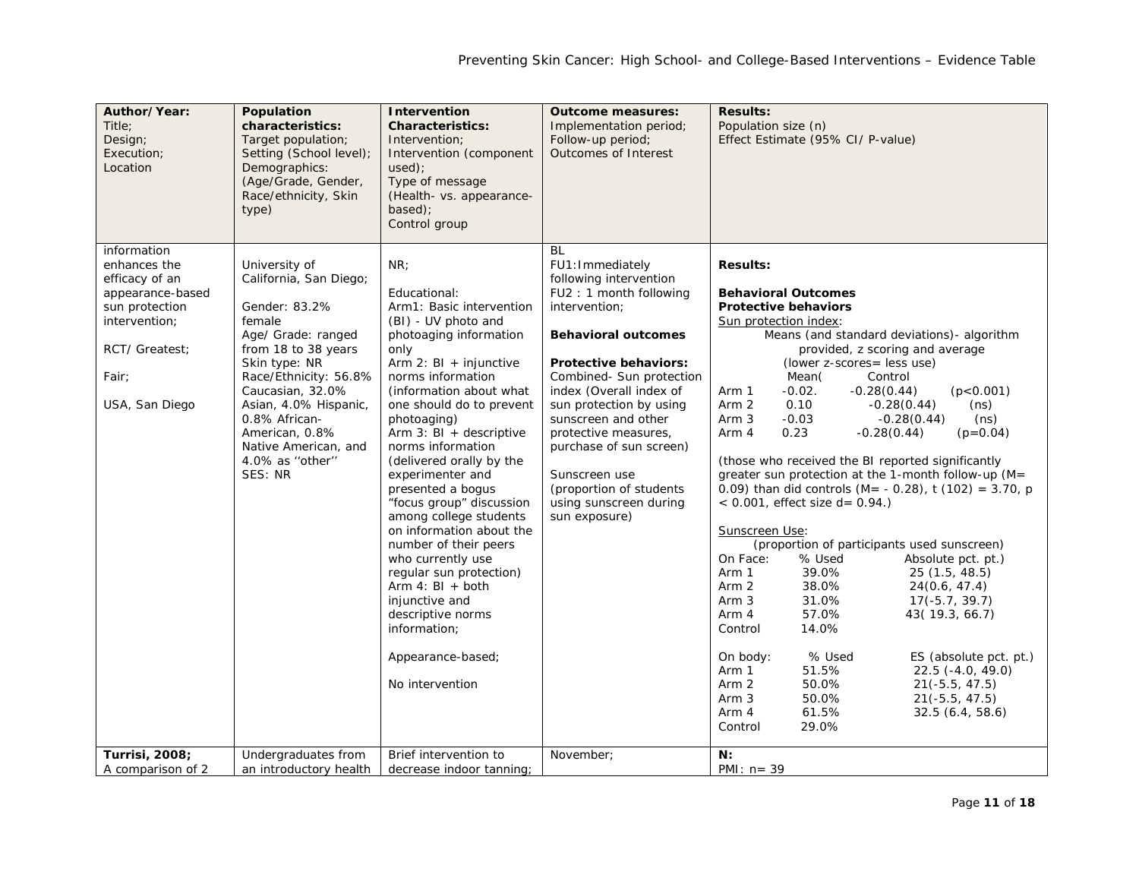| Author/Year:<br>Title:<br>Design;<br>Execution;<br>Location                                                                                       | Population<br>characteristics:<br>Target population;<br>Setting (School level);<br>Demographics:<br>(Age/Grade, Gender,<br>Race/ethnicity, Skin<br>type)                                                                                                                                        | Intervention<br><b>Characteristics:</b><br>Intervention;<br>Intervention (component<br>used):<br>Type of message<br>(Health- vs. appearance-<br>based);<br>Control group                                                                                                                                                                                                                                                                                                                                                                                                                                                               | <b>Outcome measures:</b><br>Implementation period;<br>Follow-up period;<br><b>Outcomes of Interest</b>                                                                                                                                                                                                                                                                                                        | <b>Results:</b><br>Population size (n)<br>Effect Estimate (95% CI/ P-value)                                                                                                                                                                                                                                                                                                                                                                                                                                                                                                                                                                                                                                                                                                                                                                                                                                                                                                                                                                                                                                                                                                                     |
|---------------------------------------------------------------------------------------------------------------------------------------------------|-------------------------------------------------------------------------------------------------------------------------------------------------------------------------------------------------------------------------------------------------------------------------------------------------|----------------------------------------------------------------------------------------------------------------------------------------------------------------------------------------------------------------------------------------------------------------------------------------------------------------------------------------------------------------------------------------------------------------------------------------------------------------------------------------------------------------------------------------------------------------------------------------------------------------------------------------|---------------------------------------------------------------------------------------------------------------------------------------------------------------------------------------------------------------------------------------------------------------------------------------------------------------------------------------------------------------------------------------------------------------|-------------------------------------------------------------------------------------------------------------------------------------------------------------------------------------------------------------------------------------------------------------------------------------------------------------------------------------------------------------------------------------------------------------------------------------------------------------------------------------------------------------------------------------------------------------------------------------------------------------------------------------------------------------------------------------------------------------------------------------------------------------------------------------------------------------------------------------------------------------------------------------------------------------------------------------------------------------------------------------------------------------------------------------------------------------------------------------------------------------------------------------------------------------------------------------------------|
| information<br>enhances the<br>efficacy of an<br>appearance-based<br>sun protection<br>intervention;<br>RCT/ Greatest:<br>Fair:<br>USA, San Diego | University of<br>California, San Diego;<br>Gender: 83.2%<br>female<br>Age/ Grade: ranged<br>from 18 to 38 years<br>Skin type: NR<br>Race/Ethnicity: 56.8%<br>Caucasian, 32.0%<br>Asian, 4.0% Hispanic,<br>0.8% African-<br>American, 0.8%<br>Native American, and<br>4.0% as "other"<br>SES: NR | NR:<br>Educational:<br>Arm1: Basic intervention<br>(BI) - UV photo and<br>photoaging information<br>only<br>Arm 2: $BI + injunctive$<br>norms information<br>(information about what<br>one should do to prevent<br>photoaging)<br>Arm $3:$ BI + descriptive<br>norms information<br>(delivered orally by the<br>experimenter and<br>presented a bogus<br>"focus group" discussion<br>among college students<br>on information about the<br>number of their peers<br>who currently use<br>regular sun protection)<br>Arm $4: BI + both$<br>injunctive and<br>descriptive norms<br>information;<br>Appearance-based;<br>No intervention | BL<br>FU1: Immediately<br>following intervention<br>FU2: 1 month following<br>intervention;<br><b>Behavioral outcomes</b><br><b>Protective behaviors:</b><br>Combined- Sun protection<br>index (Overall index of<br>sun protection by using<br>sunscreen and other<br>protective measures,<br>purchase of sun screen)<br>Sunscreen use<br>(proportion of students)<br>using sunscreen during<br>sun exposure) | <b>Results:</b><br><b>Behavioral Outcomes</b><br><b>Protective behaviors</b><br>Sun protection index:<br>Means (and standard deviations) - algorithm<br>provided, z scoring and average<br>(lower z-scores= less use)<br>Mean(<br>Control<br>$-0.02.$<br>(p<0.001)<br>$-0.28(0.44)$<br>Arm 1<br>Arm 2<br>0.10<br>$-0.28(0.44)$<br>(ns)<br>$-0.03$<br>Arm 3<br>$-0.28(0.44)$<br>(ns)<br>Arm 4<br>0.23<br>$-0.28(0.44)$<br>$(p=0.04)$<br>(those who received the BI reported significantly<br>greater sun protection at the 1-month follow-up (M=<br>0.09) than did controls (M= - 0.28), t (102) = 3.70, p<br>$< 0.001$ , effect size d = 0.94.)<br>Sunscreen Use:<br>(proportion of participants used sunscreen)<br>On Face:<br>% Used<br>Absolute pct. pt.)<br>Arm 1<br>39.0%<br>25(1.5, 48.5)<br>Arm <sub>2</sub><br>38.0%<br>24(0.6, 47.4)<br>Arm 3<br>31.0%<br>$17(-5.7, 39.7)$<br>Arm 4<br>57.0%<br>43(19.3, 66.7)<br>Control<br>14.0%<br>% Used<br>On body:<br>ES (absolute pct. pt.)<br>51.5%<br>Arm 1<br>$22.5$ (-4.0, 49.0)<br>Arm <sub>2</sub><br>50.0%<br>$21(-5.5, 47.5)$<br>Arm <sub>3</sub><br>50.0%<br>$21(-5.5, 47.5)$<br>Arm 4<br>61.5%<br>32.5(6.4, 58.6)<br>29.0%<br>Control |
| Turrisi, 2008;<br>A comparison of 2                                                                                                               | Undergraduates from<br>an introductory health                                                                                                                                                                                                                                                   | Brief intervention to<br>decrease indoor tanning;                                                                                                                                                                                                                                                                                                                                                                                                                                                                                                                                                                                      | November:                                                                                                                                                                                                                                                                                                                                                                                                     | N:<br>PMI: $n = 39$                                                                                                                                                                                                                                                                                                                                                                                                                                                                                                                                                                                                                                                                                                                                                                                                                                                                                                                                                                                                                                                                                                                                                                             |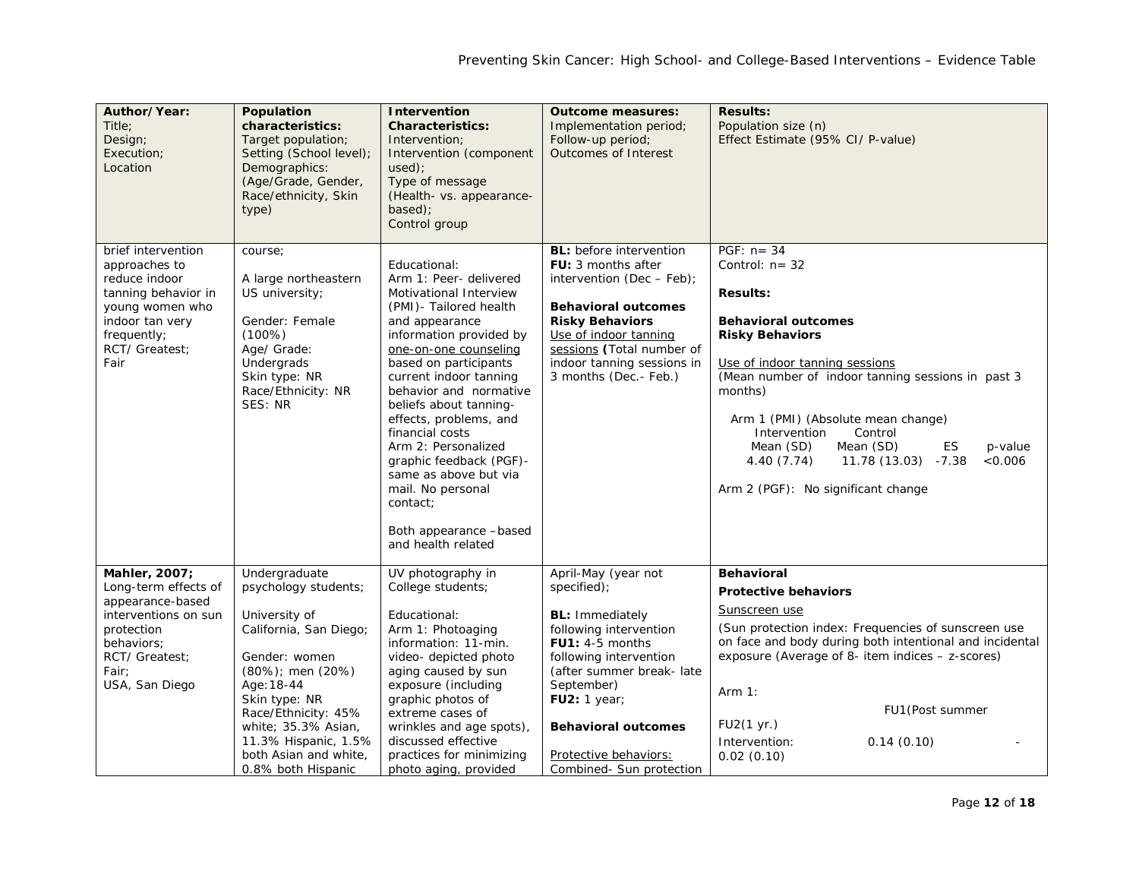| Author/Year:<br>Title:<br>Design;<br>Execution;<br>Location                                                                                                | Population<br>characteristics:<br>Target population;<br>Setting (School level);<br>Demographics:<br>(Age/Grade, Gender,<br>Race/ethnicity, Skin<br>type)                                                                                                                         | Intervention<br><b>Characteristics:</b><br>Intervention;<br>Intervention (component<br>used):<br>Type of message<br>(Health- vs. appearance-<br>based);<br>Control group                                                                                                                                                                                                                                                                                                         | <b>Outcome measures:</b><br>Implementation period;<br>Follow-up period;<br><b>Outcomes of Interest</b>                                                                                                                                                                            | <b>Results:</b><br>Population size (n)<br>Effect Estimate (95% CI/ P-value)                                                                                                                                                                                                                                                                                                                                       |
|------------------------------------------------------------------------------------------------------------------------------------------------------------|----------------------------------------------------------------------------------------------------------------------------------------------------------------------------------------------------------------------------------------------------------------------------------|----------------------------------------------------------------------------------------------------------------------------------------------------------------------------------------------------------------------------------------------------------------------------------------------------------------------------------------------------------------------------------------------------------------------------------------------------------------------------------|-----------------------------------------------------------------------------------------------------------------------------------------------------------------------------------------------------------------------------------------------------------------------------------|-------------------------------------------------------------------------------------------------------------------------------------------------------------------------------------------------------------------------------------------------------------------------------------------------------------------------------------------------------------------------------------------------------------------|
| brief intervention<br>approaches to<br>reduce indoor<br>tanning behavior in<br>young women who<br>indoor tan very<br>frequently;<br>RCT/ Greatest;<br>Fair | course;<br>A large northeastern<br>US university;<br>Gender: Female<br>(100%)<br>Age/ Grade:<br>Undergrads<br>Skin type: NR<br>Race/Ethnicity: NR<br>SES: NR                                                                                                                     | Educational:<br>Arm 1: Peer- delivered<br>Motivational Interview<br>(PMI)- Tailored health<br>and appearance<br>information provided by<br>one-on-one counseling<br>based on participants<br>current indoor tanning<br>behavior and normative<br>beliefs about tanning-<br>effects, problems, and<br>financial costs<br>Arm 2: Personalized<br>graphic feedback (PGF)-<br>same as above but via<br>mail. No personal<br>contact;<br>Both appearance -based<br>and health related | <b>BL:</b> before intervention<br><b>FU:</b> 3 months after<br>intervention (Dec $-$ Feb);<br><b>Behavioral outcomes</b><br><b>Risky Behaviors</b><br>Use of indoor tanning<br>sessions (Total number of<br>indoor tanning sessions in<br>3 months (Dec.- Feb.)                   | PGF: $n = 34$<br>Control: $n = 32$<br><b>Results:</b><br><b>Behavioral outcomes</b><br><b>Risky Behaviors</b><br>Use of indoor tanning sessions<br>(Mean number of indoor tanning sessions in past 3<br>months)<br>Arm 1 (PMI) (Absolute mean change)<br>Intervention<br>Control<br>Mean (SD)<br>Mean (SD)<br>ES<br>p-value<br>11.78 (13.03) -7.38<br>&0.006<br>4.40 (7.74)<br>Arm 2 (PGF): No significant change |
| Mahler, 2007;<br>Long-term effects of<br>appearance-based<br>interventions on sun<br>protection<br>behaviors;<br>RCT/ Greatest:<br>Fair:<br>USA, San Diego | Undergraduate<br>psychology students;<br>University of<br>California, San Diego;<br>Gender: women<br>$(80\%)$ ; men $(20\%)$<br>Age: 18-44<br>Skin type: NR<br>Race/Ethnicity: 45%<br>white; 35.3% Asian,<br>11.3% Hispanic, 1.5%<br>both Asian and white,<br>0.8% both Hispanic | UV photography in<br>College students;<br>Educational:<br>Arm 1: Photoaging<br>information: 11-min.<br>video- depicted photo<br>aging caused by sun<br>exposure (including<br>graphic photos of<br>extreme cases of<br>wrinkles and age spots),<br>discussed effective<br>practices for minimizing<br>photo aging, provided                                                                                                                                                      | April-May (year not<br>specified);<br><b>BL:</b> Immediately<br>following intervention<br>$FU1: 4-5$ months<br>following intervention<br>(after summer break-late<br>September)<br>FU2:1 year;<br><b>Behavioral outcomes</b><br>Protective behaviors:<br>Combined- Sun protection | <b>Behavioral</b><br><b>Protective behaviors</b><br>Sunscreen use<br>(Sun protection index: Frequencies of sunscreen use<br>on face and body during both intentional and incidental<br>exposure (Average of 8- item indices - z-scores)<br>Arm $1:$<br>FU1 (Post summer<br>FU2(1 yr.)<br>Intervention:<br>0.14(0.10)<br>0.02(0.10)                                                                                |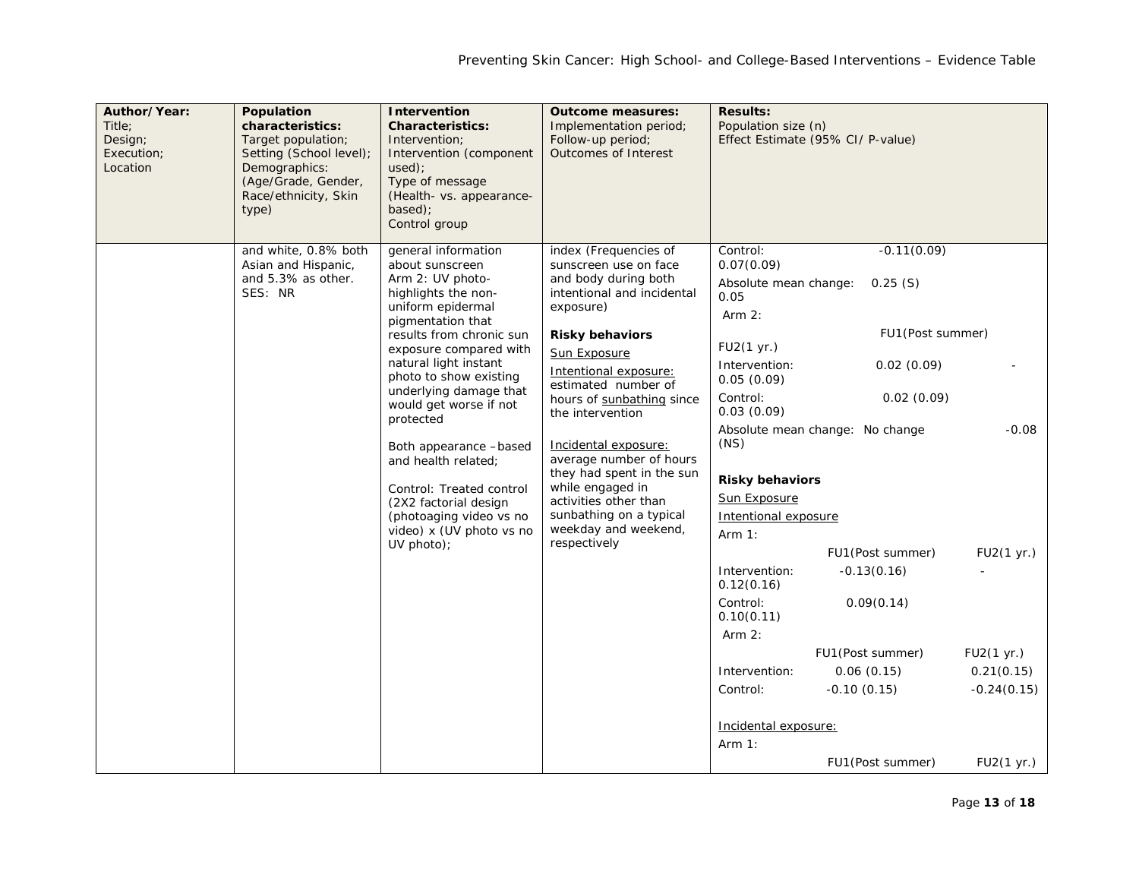| Author/Year:<br>Title:<br>Design;<br>Execution;<br>Location | Population<br>characteristics:<br>Target population;<br>Setting (School level);<br>Demographics:<br>(Age/Grade, Gender,<br>Race/ethnicity, Skin<br>type) | Intervention<br><b>Characteristics:</b><br>Intervention:<br>Intervention (component<br>used):<br>Type of message<br>(Health- vs. appearance-<br>$based$ :<br>Control group                                                                                                                                                                                                                                                                                                       | <b>Outcome measures:</b><br>Implementation period;<br>Follow-up period;<br>Outcomes of Interest                                                                                                                                                                                                                                                                                                                                                              | <b>Results:</b><br>Population size (n)                                                                                                                                                                                                                                                                                                                                 | Effect Estimate (95% CI/ P-value)                                                                                                                                                                                                        |                                                                                  |
|-------------------------------------------------------------|----------------------------------------------------------------------------------------------------------------------------------------------------------|----------------------------------------------------------------------------------------------------------------------------------------------------------------------------------------------------------------------------------------------------------------------------------------------------------------------------------------------------------------------------------------------------------------------------------------------------------------------------------|--------------------------------------------------------------------------------------------------------------------------------------------------------------------------------------------------------------------------------------------------------------------------------------------------------------------------------------------------------------------------------------------------------------------------------------------------------------|------------------------------------------------------------------------------------------------------------------------------------------------------------------------------------------------------------------------------------------------------------------------------------------------------------------------------------------------------------------------|------------------------------------------------------------------------------------------------------------------------------------------------------------------------------------------------------------------------------------------|----------------------------------------------------------------------------------|
|                                                             | and white, 0.8% both<br>Asian and Hispanic,<br>and 5.3% as other.<br>SES: NR                                                                             | general information<br>about sunscreen<br>Arm 2: UV photo-<br>highlights the non-<br>uniform epidermal<br>pigmentation that<br>results from chronic sun<br>exposure compared with<br>natural light instant<br>photo to show existing<br>underlying damage that<br>would get worse if not<br>protected<br>Both appearance -based<br>and health related;<br>Control: Treated control<br>(2X2 factorial design<br>(photoaging video vs no<br>video) x (UV photo vs no<br>UV photo); | index (Frequencies of<br>sunscreen use on face<br>and body during both<br>intentional and incidental<br>exposure)<br><b>Risky behaviors</b><br>Sun Exposure<br>Intentional exposure:<br>estimated number of<br>hours of sunbathing since<br>the intervention<br>Incidental exposure:<br>average number of hours<br>they had spent in the sun<br>while engaged in<br>activities other than<br>sunbathing on a typical<br>weekday and weekend,<br>respectively | Control:<br>0.07(0.09)<br>Absolute mean change:<br>0.05<br>Arm $2:$<br>FU2(1 yr.)<br>Intervention:<br>0.05(0.09)<br>Control:<br>0.03(0.09)<br>(NS)<br><b>Risky behaviors</b><br>Sun Exposure<br>Intentional exposure<br>Arm $1:$<br>Intervention:<br>0.12(0.16)<br>Control:<br>0.10(0.11)<br>Arm $2:$<br>Intervention:<br>Control:<br>Incidental exposure:<br>Arm $1:$ | $-0.11(0.09)$<br>0.25(S)<br>FU1(Post summer)<br>0.02(0.09)<br>0.02(0.09)<br>Absolute mean change: No change<br>FU1 (Post summer)<br>$-0.13(0.16)$<br>0.09(0.14)<br>FU1 (Post summer)<br>0.06(0.15)<br>$-0.10(0.15)$<br>FU1 (Post summer) | $-0.08$<br>FU2(1 yr.)<br>FU2(1 yr.)<br>0.21(0.15)<br>$-0.24(0.15)$<br>FU2(1 yr.) |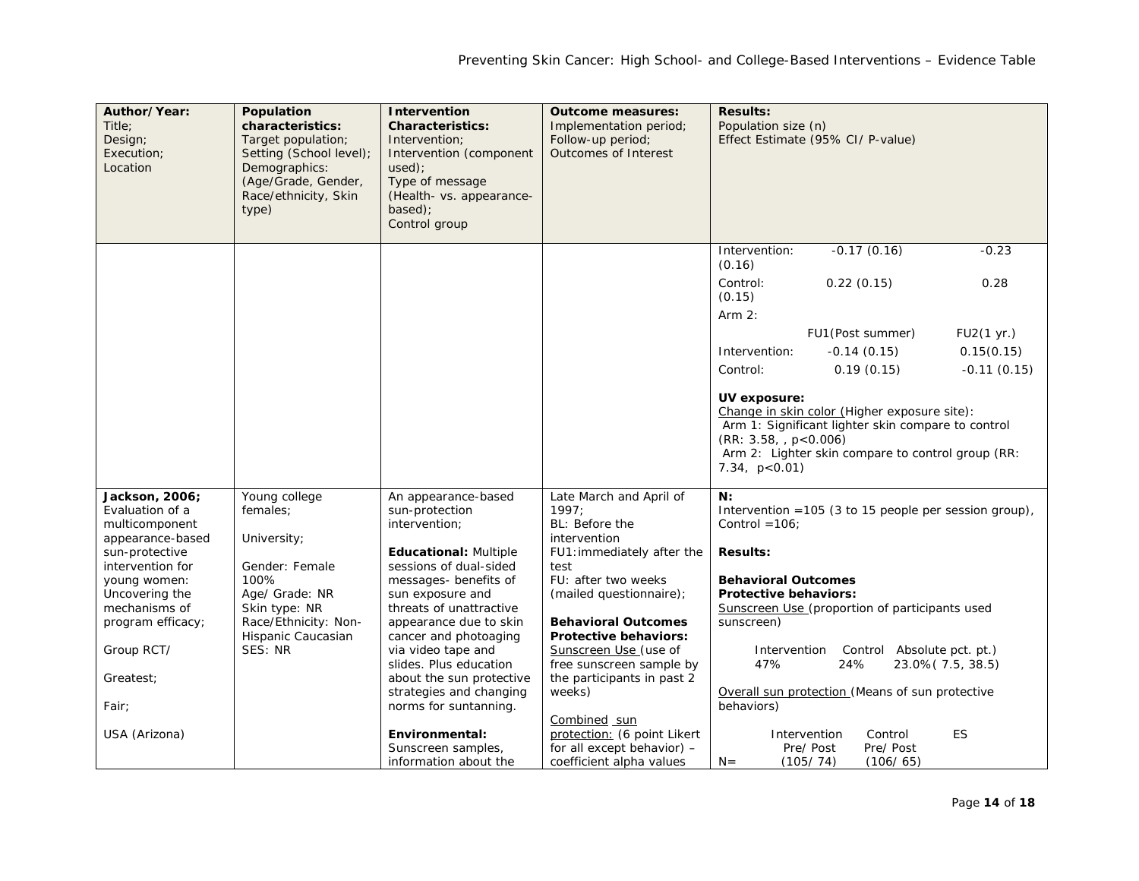| Author/Year:<br>Title:<br>Design;<br>Execution;<br>Location | Population<br>characteristics:<br>Target population;<br>Setting (School level);<br>Demographics:<br>(Age/Grade, Gender,<br>Race/ethnicity, Skin | <b>Intervention</b><br><b>Characteristics:</b><br>Intervention:<br>Intervention (component<br>$used$ :<br>Type of message<br>(Health- vs. appearance- | <b>Outcome measures:</b><br>Implementation period;<br>Follow-up period;<br>Outcomes of Interest | <b>Results:</b><br>Population size (n)                  | Effect Estimate (95% CI/ P-value)                                                                                                                       |                   |
|-------------------------------------------------------------|-------------------------------------------------------------------------------------------------------------------------------------------------|-------------------------------------------------------------------------------------------------------------------------------------------------------|-------------------------------------------------------------------------------------------------|---------------------------------------------------------|---------------------------------------------------------------------------------------------------------------------------------------------------------|-------------------|
|                                                             | type)                                                                                                                                           | based);<br>Control group                                                                                                                              |                                                                                                 |                                                         |                                                                                                                                                         |                   |
|                                                             |                                                                                                                                                 |                                                                                                                                                       |                                                                                                 | Intervention:<br>(0.16)                                 | $-0.17(0.16)$                                                                                                                                           | $-0.23$           |
|                                                             |                                                                                                                                                 |                                                                                                                                                       |                                                                                                 | Control:<br>(0.15)<br>Arm $2:$                          | 0.22(0.15)                                                                                                                                              | 0.28              |
|                                                             |                                                                                                                                                 |                                                                                                                                                       |                                                                                                 |                                                         | FU1 (Post summer)                                                                                                                                       | FU2(1 yr.)        |
|                                                             |                                                                                                                                                 |                                                                                                                                                       |                                                                                                 | Intervention:                                           | $-0.14(0.15)$                                                                                                                                           | 0.15(0.15)        |
|                                                             |                                                                                                                                                 |                                                                                                                                                       |                                                                                                 | Control:                                                | 0.19(0.15)                                                                                                                                              | $-0.11(0.15)$     |
|                                                             |                                                                                                                                                 |                                                                                                                                                       |                                                                                                 |                                                         |                                                                                                                                                         |                   |
|                                                             |                                                                                                                                                 |                                                                                                                                                       |                                                                                                 | UV exposure:<br>(RR: 3.58, p < 0.006)<br>7.34, p < 0.01 | Change in skin color (Higher exposure site):<br>Arm 1: Significant lighter skin compare to control<br>Arm 2: Lighter skin compare to control group (RR: |                   |
| Jackson, 2006;<br>Evaluation of a                           | Young college<br>females:                                                                                                                       | An appearance-based<br>sun-protection                                                                                                                 | Late March and April of<br>1997:                                                                | N:                                                      | Intervention = $105$ (3 to 15 people per session group),                                                                                                |                   |
| multicomponent<br>appearance-based                          | University;                                                                                                                                     | intervention;                                                                                                                                         | BL: Before the<br>intervention                                                                  | Control = $106$ ;                                       |                                                                                                                                                         |                   |
| sun-protective<br>intervention for                          | Gender: Female                                                                                                                                  | <b>Educational: Multiple</b><br>sessions of dual-sided                                                                                                | FU1: immediately after the<br>test                                                              | <b>Results:</b>                                         |                                                                                                                                                         |                   |
| young women:                                                | 100%                                                                                                                                            | messages- benefits of                                                                                                                                 | FU: after two weeks                                                                             | <b>Behavioral Outcomes</b>                              |                                                                                                                                                         |                   |
| Uncovering the                                              | Age/ Grade: NR                                                                                                                                  | sun exposure and                                                                                                                                      | (mailed questionnaire);                                                                         | <b>Protective behaviors:</b>                            |                                                                                                                                                         |                   |
| mechanisms of<br>program efficacy;                          | Skin type: NR<br>Race/Ethnicity: Non-                                                                                                           | threats of unattractive<br>appearance due to skin                                                                                                     | <b>Behavioral Outcomes</b>                                                                      | sunscreen)                                              | Sunscreen Use (proportion of participants used                                                                                                          |                   |
|                                                             | Hispanic Caucasian                                                                                                                              | cancer and photoaging                                                                                                                                 | <b>Protective behaviors:</b>                                                                    |                                                         |                                                                                                                                                         |                   |
| Group RCT/                                                  | SES: NR                                                                                                                                         | via video tape and<br>slides. Plus education                                                                                                          | Sunscreen Use (use of<br>free sunscreen sample by                                               | Intervention<br>47%                                     | Control Absolute pct. pt.)<br>24%                                                                                                                       | 23.0% (7.5, 38.5) |
| Greatest:                                                   |                                                                                                                                                 | about the sun protective                                                                                                                              | the participants in past 2                                                                      |                                                         |                                                                                                                                                         |                   |
|                                                             |                                                                                                                                                 | strategies and changing                                                                                                                               | weeks)                                                                                          |                                                         | Overall sun protection (Means of sun protective                                                                                                         |                   |
| Fair;                                                       |                                                                                                                                                 | norms for suntanning.                                                                                                                                 | Combined sun                                                                                    | behaviors)                                              |                                                                                                                                                         |                   |
| USA (Arizona)                                               |                                                                                                                                                 | Environmental:                                                                                                                                        | protection: (6 point Likert                                                                     |                                                         | Intervention<br>Control                                                                                                                                 | ES                |
|                                                             |                                                                                                                                                 | Sunscreen samples,                                                                                                                                    | for all except behavior) -                                                                      |                                                         | Pre/Post<br>Pre/Post                                                                                                                                    |                   |
|                                                             |                                                                                                                                                 | information about the                                                                                                                                 | coefficient alpha values                                                                        | $N =$                                                   | (105/74)<br>(106/65)                                                                                                                                    |                   |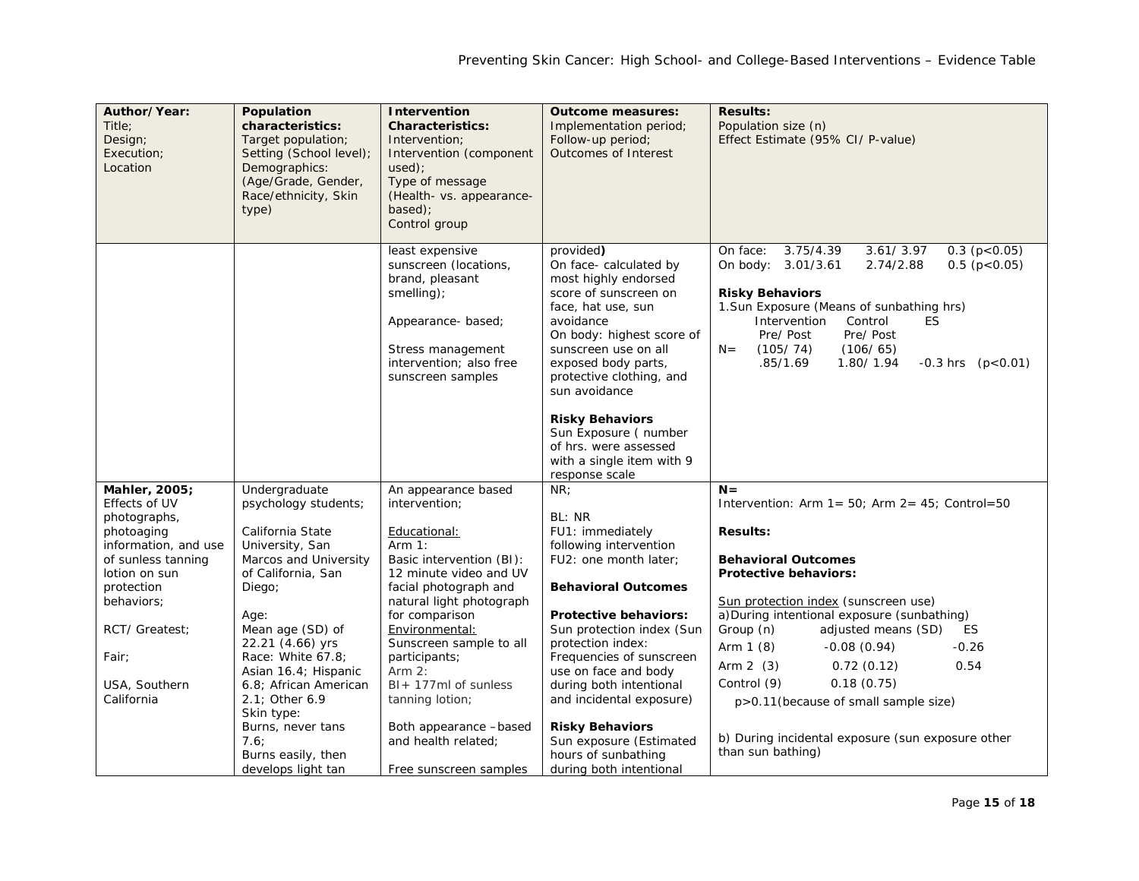| Author/Year:<br>Title;<br>Design;<br>Execution;<br>Location | Population<br>characteristics:<br>Target population;<br>Setting (School level);<br>Demographics:<br>(Age/Grade, Gender,<br>Race/ethnicity, Skin<br>type) | Intervention<br><b>Characteristics:</b><br>Intervention;<br>Intervention (component<br>$used$ :<br>Type of message<br>(Health- vs. appearance-<br>based); | <b>Outcome measures:</b><br>Implementation period;<br>Follow-up period;<br>Outcomes of Interest                                                                                                                    | <b>Results:</b><br>Population size (n)<br>Effect Estimate (95% CI/ P-value)                                                                                                                                                                  |
|-------------------------------------------------------------|----------------------------------------------------------------------------------------------------------------------------------------------------------|-----------------------------------------------------------------------------------------------------------------------------------------------------------|--------------------------------------------------------------------------------------------------------------------------------------------------------------------------------------------------------------------|----------------------------------------------------------------------------------------------------------------------------------------------------------------------------------------------------------------------------------------------|
|                                                             |                                                                                                                                                          | Control group<br>least expensive<br>sunscreen (locations,<br>brand, pleasant<br>smelling);<br>Appearance- based;                                          | provided)<br>On face- calculated by<br>most highly endorsed<br>score of sunscreen on<br>face, hat use, sun<br>avoidance<br>On body: highest score of                                                               | 3.75/4.39<br>0.3(p<0.05)<br>On face:<br>3.61/3.97<br>On body: 3.01/3.61<br>2.74/2.88<br>$0.5$ ( $p < 0.05$ )<br><b>Risky Behaviors</b><br>1. Sun Exposure (Means of sunbathing hrs)<br>Control<br>ES<br>Intervention<br>Pre/Post<br>Pre/Post |
|                                                             |                                                                                                                                                          | Stress management<br>intervention; also free<br>sunscreen samples                                                                                         | sunscreen use on all<br>exposed body parts,<br>protective clothing, and<br>sun avoidance<br><b>Risky Behaviors</b><br>Sun Exposure (number<br>of hrs. were assessed<br>with a single item with 9<br>response scale | $N =$<br>(105/74)<br>(106/65)<br>.85/1.69<br>1.80/1.94<br>$-0.3$ hrs $(p<0.01)$                                                                                                                                                              |
| Mahler, 2005;                                               | Undergraduate                                                                                                                                            | An appearance based                                                                                                                                       | NR;                                                                                                                                                                                                                | $N =$                                                                                                                                                                                                                                        |
| Effects of UV<br>photographs,                               | psychology students;                                                                                                                                     | intervention:                                                                                                                                             | BL: NR                                                                                                                                                                                                             | Intervention: Arm $1 = 50$ ; Arm $2 = 45$ ; Control=50                                                                                                                                                                                       |
| photoaging                                                  | California State                                                                                                                                         | Educational:                                                                                                                                              | FU1: immediately                                                                                                                                                                                                   | <b>Results:</b>                                                                                                                                                                                                                              |
| information, and use                                        | University, San                                                                                                                                          | Arm $1:$                                                                                                                                                  | following intervention                                                                                                                                                                                             |                                                                                                                                                                                                                                              |
| of sunless tanning<br>lotion on sun                         | Marcos and University<br>of California, San                                                                                                              | Basic intervention (BI):<br>12 minute video and UV                                                                                                        | FU2: one month later;                                                                                                                                                                                              | <b>Behavioral Outcomes</b><br><b>Protective behaviors:</b>                                                                                                                                                                                   |
| protection<br>behaviors;<br>RCT/ Greatest:                  | Diego;<br>Age:<br>Mean age (SD) of<br>22.21 (4.66) yrs                                                                                                   | facial photograph and<br>natural light photograph<br>for comparison<br>Environmental:<br>Sunscreen sample to all                                          | <b>Behavioral Outcomes</b><br><b>Protective behaviors:</b><br>Sun protection index (Sun<br>protection index:                                                                                                       | Sun protection index (sunscreen use)<br>a) During intentional exposure (sunbathing)<br>Group (n)<br>adjusted means (SD)<br><b>ES</b>                                                                                                         |
| Fair;                                                       | Race: White 67.8;                                                                                                                                        | participants;                                                                                                                                             | Frequencies of sunscreen                                                                                                                                                                                           | Arm $1(8)$<br>$-0.26$<br>$-0.08(0.94)$                                                                                                                                                                                                       |
|                                                             | Asian 16.4; Hispanic                                                                                                                                     | Arm $2$ :                                                                                                                                                 | use on face and body                                                                                                                                                                                               | 0.54<br>Arm $2(3)$<br>0.72(0.12)                                                                                                                                                                                                             |
| USA, Southern<br>California                                 | 6.8; African American<br>2.1; Other 6.9<br>Skin type:                                                                                                    | $BI + 177ml$ of sunless<br>tanning lotion;                                                                                                                | during both intentional<br>and incidental exposure)                                                                                                                                                                | Control (9)<br>0.18(0.75)<br>p>0.11(because of small sample size)                                                                                                                                                                            |
|                                                             | Burns, never tans                                                                                                                                        | Both appearance -based                                                                                                                                    | <b>Risky Behaviors</b>                                                                                                                                                                                             | b) During incidental exposure (sun exposure other                                                                                                                                                                                            |
|                                                             | 7.6:<br>Burns easily, then                                                                                                                               | and health related;                                                                                                                                       | Sun exposure (Estimated<br>hours of sunbathing                                                                                                                                                                     | than sun bathing)                                                                                                                                                                                                                            |
|                                                             | develops light tan                                                                                                                                       | Free sunscreen samples                                                                                                                                    | during both intentional                                                                                                                                                                                            |                                                                                                                                                                                                                                              |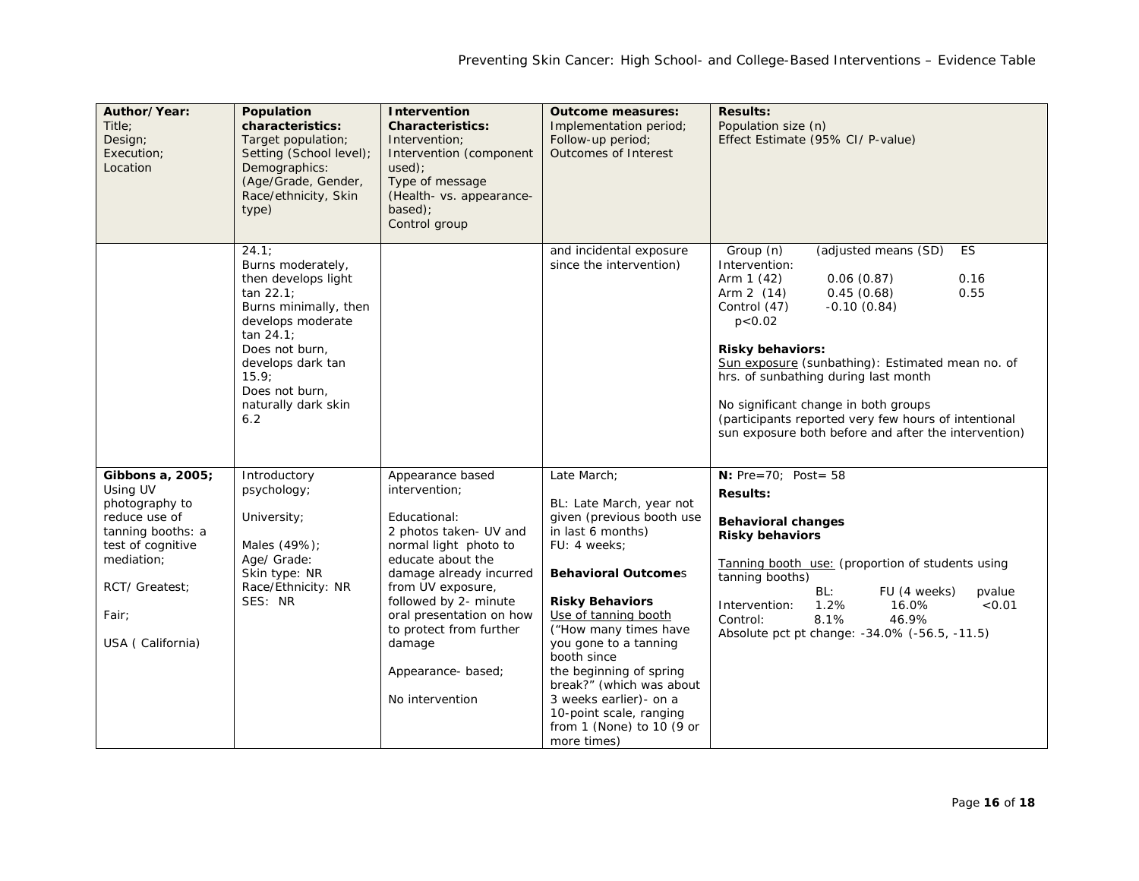| Author/Year:<br>Title:<br>Design;<br>Execution;<br>Location                                                                                                            | Population<br>characteristics:<br>Target population;<br>Setting (School level);<br>Demographics:<br>(Age/Grade, Gender,<br>Race/ethnicity, Skin<br>type)                                                                | Intervention<br><b>Characteristics:</b><br>Intervention;<br>Intervention (component<br>used):<br>Type of message<br>(Health- vs. appearance-<br>based);<br>Control group                                                                                                                                    | <b>Outcome measures:</b><br>Implementation period;<br>Follow-up period;<br><b>Outcomes of Interest</b>                                                                                                                                                                                                                                                                                                             | <b>Results:</b><br>Population size (n)<br>Effect Estimate (95% CI/ P-value)                                                                                                                                                                                                                                                                                                                                                                                   |
|------------------------------------------------------------------------------------------------------------------------------------------------------------------------|-------------------------------------------------------------------------------------------------------------------------------------------------------------------------------------------------------------------------|-------------------------------------------------------------------------------------------------------------------------------------------------------------------------------------------------------------------------------------------------------------------------------------------------------------|--------------------------------------------------------------------------------------------------------------------------------------------------------------------------------------------------------------------------------------------------------------------------------------------------------------------------------------------------------------------------------------------------------------------|---------------------------------------------------------------------------------------------------------------------------------------------------------------------------------------------------------------------------------------------------------------------------------------------------------------------------------------------------------------------------------------------------------------------------------------------------------------|
|                                                                                                                                                                        | 24.1;<br>Burns moderately,<br>then develops light<br>tan 22.1<br>Burns minimally, then<br>develops moderate<br>tan 24.1<br>Does not burn,<br>develops dark tan<br>15.9;<br>Does not burn,<br>naturally dark skin<br>6.2 |                                                                                                                                                                                                                                                                                                             | and incidental exposure<br>since the intervention)                                                                                                                                                                                                                                                                                                                                                                 | (adjusted means (SD)<br>ES<br>Group (n)<br>Intervention:<br>0.16<br>Arm $1(42)$<br>0.06(0.87)<br>0.45(0.68)<br>0.55<br>Arm 2 (14)<br>Control (47)<br>$-0.10(0.84)$<br>p < 0.02<br><b>Risky behaviors:</b><br>Sun exposure (sunbathing): Estimated mean no. of<br>hrs. of sunbathing during last month<br>No significant change in both groups<br>(participants reported very few hours of intentional<br>sun exposure both before and after the intervention) |
| Gibbons a, 2005;<br>Using UV<br>photography to<br>reduce use of<br>tanning booths: a<br>test of cognitive<br>mediation;<br>RCT/ Greatest;<br>Fair;<br>USA (California) | Introductory<br>psychology;<br>University;<br>Males (49%);<br>Age/ Grade:<br>Skin type: NR<br>Race/Ethnicity: NR<br>SES: NR                                                                                             | Appearance based<br>intervention;<br>Educational:<br>2 photos taken- UV and<br>normal light photo to<br>educate about the<br>damage already incurred<br>from UV exposure,<br>followed by 2- minute<br>oral presentation on how<br>to protect from further<br>damage<br>Appearance-based;<br>No intervention | Late March;<br>BL: Late March, year not<br>given (previous booth use<br>in last 6 months)<br>FU: 4 weeks;<br><b>Behavioral Outcomes</b><br><b>Risky Behaviors</b><br>Use of tanning booth<br>("How many times have<br>you gone to a tanning<br>booth since<br>the beginning of spring<br>break?" (which was about<br>3 weeks earlier)- on a<br>10-point scale, ranging<br>from 1 (None) to 10 (9 or<br>more times) | <b>N:</b> $Pre=70; Post=58$<br><b>Results:</b><br><b>Behavioral changes</b><br><b>Risky behaviors</b><br>Tanning booth use: (proportion of students using<br>tanning booths)<br>BL:<br>FU (4 weeks)<br>pvalue<br>Intervention:<br>1.2%<br>16.0%<br>< 0.01<br>8.1%<br>46.9%<br>Control:<br>Absolute pct pt change: -34.0% (-56.5, -11.5)                                                                                                                       |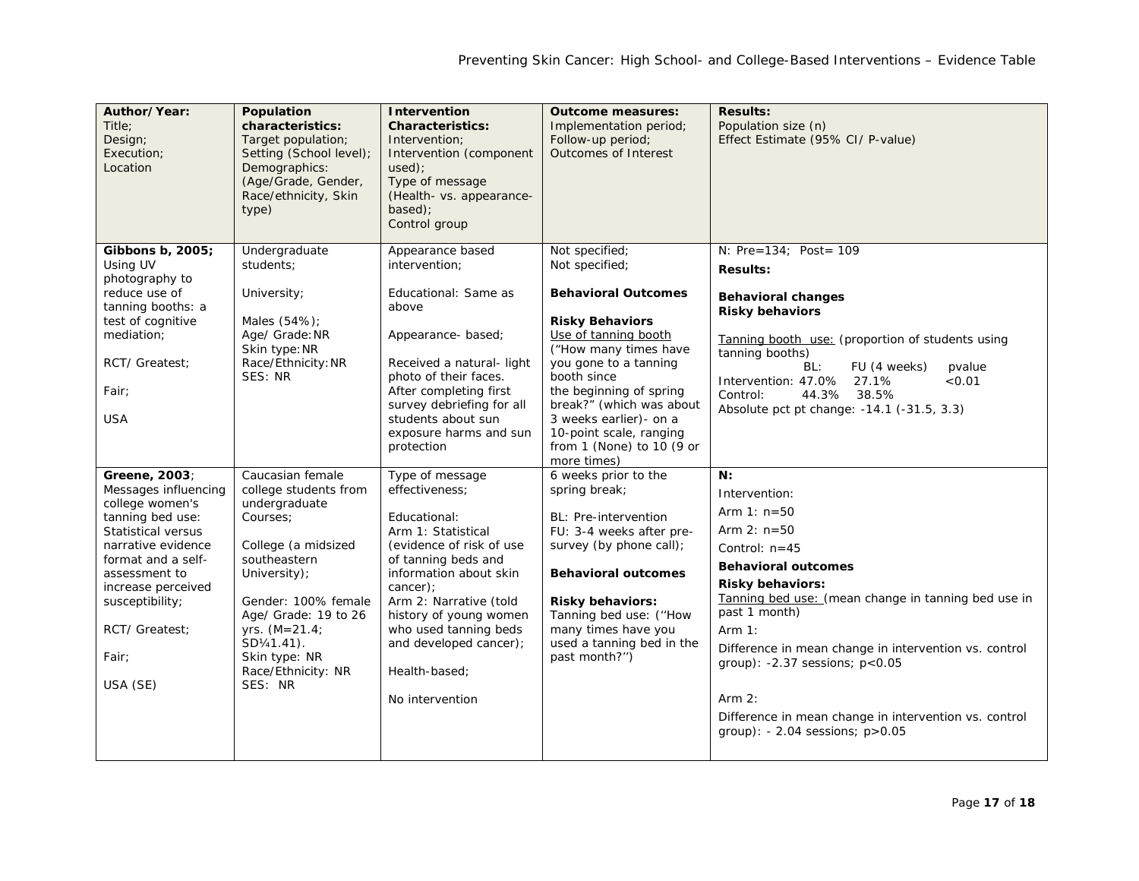| Author/Year:<br>Title:<br>Design;<br>Execution;<br>Location                                                                                                                                                                                     | Population<br>characteristics:<br>Target population;<br>Setting (School level);<br>Demographics:<br>(Age/Grade, Gender,<br>Race/ethnicity, Skin<br>type)                                                                                                         | <b>Intervention</b><br><b>Characteristics:</b><br>Intervention;<br>Intervention (component<br>used);<br>Type of message<br>(Health- vs. appearance-<br>based);<br>Control group                                                                                                                             | <b>Outcome measures:</b><br>Implementation period;<br>Follow-up period;<br>Outcomes of Interest                                                                                                                                                                                                                                           | <b>Results:</b><br>Population size (n)<br>Effect Estimate (95% CI/ P-value)                                                                                                                                                                                                                                                                                                                                                    |
|-------------------------------------------------------------------------------------------------------------------------------------------------------------------------------------------------------------------------------------------------|------------------------------------------------------------------------------------------------------------------------------------------------------------------------------------------------------------------------------------------------------------------|-------------------------------------------------------------------------------------------------------------------------------------------------------------------------------------------------------------------------------------------------------------------------------------------------------------|-------------------------------------------------------------------------------------------------------------------------------------------------------------------------------------------------------------------------------------------------------------------------------------------------------------------------------------------|--------------------------------------------------------------------------------------------------------------------------------------------------------------------------------------------------------------------------------------------------------------------------------------------------------------------------------------------------------------------------------------------------------------------------------|
| Gibbons b, 2005;<br>Using UV<br>photography to<br>reduce use of<br>tanning booths: a<br>test of cognitive<br>mediation;<br>RCT/ Greatest:<br>Fair:<br><b>USA</b>                                                                                | Undergraduate<br>students;<br>University;<br>Males (54%);<br>Age/ Grade: NR<br>Skin type: NR<br>Race/Ethnicity: NR<br>SES: NR                                                                                                                                    | Appearance based<br>intervention;<br>Educational: Same as<br>above<br>Appearance-based;<br>Received a natural- light<br>photo of their faces.<br>After completing first<br>survey debriefing for all<br>students about sun<br>exposure harms and sun<br>protection                                          | Not specified;<br>Not specified;<br><b>Behavioral Outcomes</b><br><b>Risky Behaviors</b><br>Use of tanning booth<br>("How many times have<br>you gone to a tanning<br>booth since<br>the beginning of spring<br>break?" (which was about<br>3 weeks earlier)- on a<br>10-point scale, ranging<br>from 1 (None) to 10 (9 or<br>more times) | N: Pre=134; Post= 109<br><b>Results:</b><br><b>Behavioral changes</b><br><b>Risky behaviors</b><br>Tanning booth use: (proportion of students using<br>tanning booths)<br>BL:<br>FU (4 weeks)<br>pvalue<br>Intervention: 47.0%<br>27.1%<br>< 0.01<br>Control:<br>44.3% 38.5%<br>Absolute pct pt change: -14.1 (-31.5, 3.3)                                                                                                     |
| Greene, 2003;<br>Messages influencing<br>college women's<br>tanning bed use:<br>Statistical versus<br>narrative evidence<br>format and a self-<br>assessment to<br>increase perceived<br>susceptibility;<br>RCT/ Greatest:<br>Fair:<br>USA (SE) | Caucasian female<br>college students from<br>undergraduate<br>Courses:<br>College (a midsized<br>southeastern<br>University);<br>Gender: 100% female<br>Age/ Grade: 19 to 26<br>yrs. $(M=21.4)$<br>SD1/41.41).<br>Skin type: NR<br>Race/Ethnicity: NR<br>SES: NR | Type of message<br>effectiveness;<br>Educational:<br>Arm 1: Statistical<br>(evidence of risk of use<br>of tanning beds and<br>information about skin<br>cancer);<br>Arm 2: Narrative (told<br>history of young women<br>who used tanning beds<br>and developed cancer);<br>Health-based;<br>No intervention | 6 weeks prior to the<br>spring break;<br>BL: Pre-intervention<br>FU: 3-4 weeks after pre-<br>survey (by phone call);<br><b>Behavioral outcomes</b><br><b>Risky behaviors:</b><br>Tanning bed use: ("How<br>many times have you<br>used a tanning bed in the<br>past month?")                                                              | N:<br>Intervention:<br>Arm $1: n=50$<br>Arm $2: n=50$<br>Control: $n=45$<br><b>Behavioral outcomes</b><br><b>Risky behaviors:</b><br>Tanning bed use: (mean change in tanning bed use in<br>past 1 month)<br>Arm $1:$<br>Difference in mean change in intervention vs. control<br>group): $-2.37$ sessions; $p < 0.05$<br>Arm $2:$<br>Difference in mean change in intervention vs. control<br>group): - 2.04 sessions; p>0.05 |